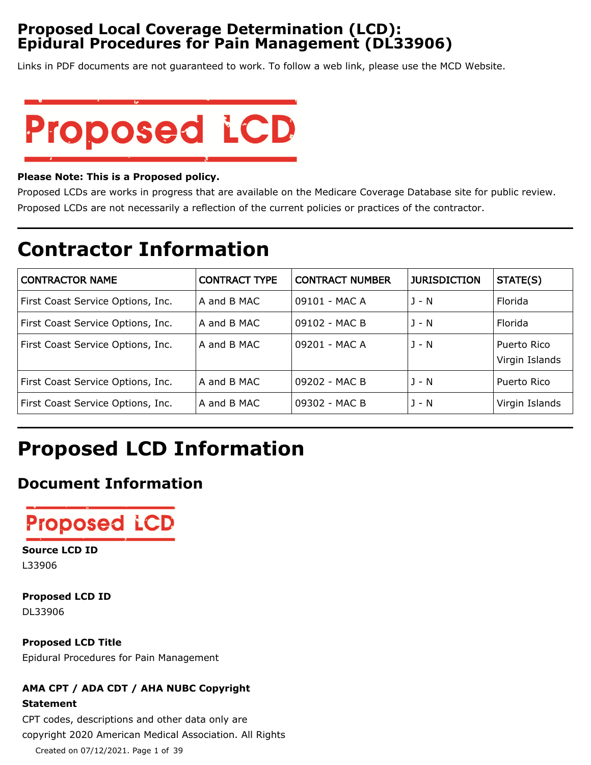# **Proposed Local Coverage Determination (LCD): Epidural Procedures for Pain Management (DL33906)**

Links in PDF documents are not guaranteed to work. To follow a web link, please use the MCD Website.



#### **Please Note: This is a Proposed policy.**

Proposed LCDs are works in progress that are available on the Medicare Coverage Database site for public review. Proposed LCDs are not necessarily a reflection of the current policies or practices of the contractor.

# **Contractor Information**

| <b>CONTRACTOR NAME</b>            | <b>CONTRACT TYPE</b> | <b>CONTRACT NUMBER</b> | <b>JURISDICTION</b> | STATE(S)                      |
|-----------------------------------|----------------------|------------------------|---------------------|-------------------------------|
| First Coast Service Options, Inc. | A and B MAC          | 09101 - MAC A          | $1 - N$             | Florida                       |
| First Coast Service Options, Inc. | A and B MAC          | 09102 - MAC B          | J - N               | Florida                       |
| First Coast Service Options, Inc. | A and B MAC          | 09201 - MAC A          | $J - N$             | Puerto Rico<br>Virgin Islands |
| First Coast Service Options, Inc. | A and B MAC          | 09202 - MAC B          | $1 - N$             | Puerto Rico                   |
| First Coast Service Options, Inc. | A and B MAC          | 09302 - MAC B          | J - N               | Virgin Islands                |

# **Proposed LCD Information**

# **Document Information**



### **Source LCD ID**

L33906

**Proposed LCD ID** DL33906

**Proposed LCD Title** Epidural Procedures for Pain Management

# **AMA CPT / ADA CDT / AHA NUBC Copyright Statement**

CPT codes, descriptions and other data only are copyright 2020 American Medical Association. All Rights Created on 07/12/2021. Page 1 of 39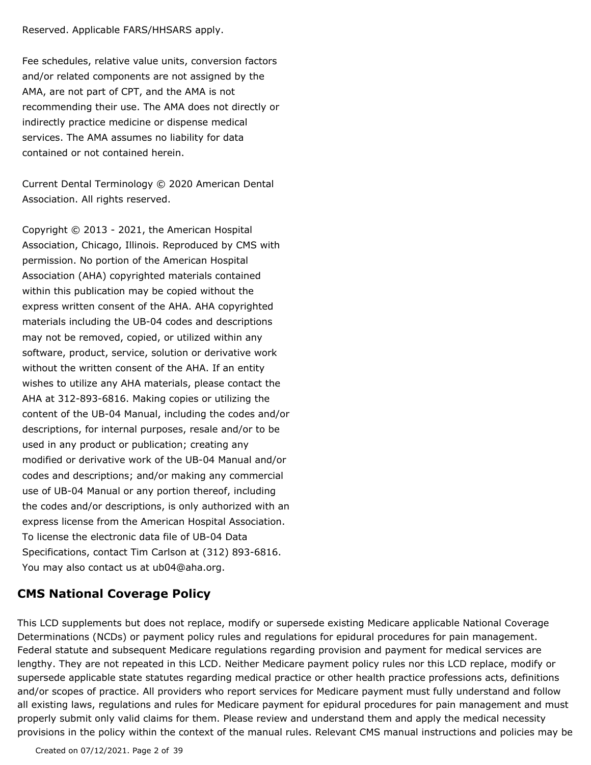#### Reserved. Applicable FARS/HHSARS apply.

Fee schedules, relative value units, conversion factors and/or related components are not assigned by the AMA, are not part of CPT, and the AMA is not recommending their use. The AMA does not directly or indirectly practice medicine or dispense medical services. The AMA assumes no liability for data contained or not contained herein.

Current Dental Terminology © 2020 American Dental Association. All rights reserved.

Copyright © 2013 - 2021, the American Hospital Association, Chicago, Illinois. Reproduced by CMS with permission. No portion of the American Hospital Association (AHA) copyrighted materials contained within this publication may be copied without the express written consent of the AHA. AHA copyrighted materials including the UB-04 codes and descriptions may not be removed, copied, or utilized within any software, product, service, solution or derivative work without the written consent of the AHA. If an entity wishes to utilize any AHA materials, please contact the AHA at 312-893-6816. Making copies or utilizing the content of the UB-04 Manual, including the codes and/or descriptions, for internal purposes, resale and/or to be used in any product or publication; creating any modified or derivative work of the UB-04 Manual and/or codes and descriptions; and/or making any commercial use of UB-04 Manual or any portion thereof, including the codes and/or descriptions, is only authorized with an express license from the American Hospital Association. To license the electronic data file of UB-04 Data Specifications, contact Tim Carlson at (312) 893-6816. You may also contact us at ub04@aha.org.

# **CMS National Coverage Policy**

This LCD supplements but does not replace, modify or supersede existing Medicare applicable National Coverage Determinations (NCDs) or payment policy rules and regulations for epidural procedures for pain management. Federal statute and subsequent Medicare regulations regarding provision and payment for medical services are lengthy. They are not repeated in this LCD. Neither Medicare payment policy rules nor this LCD replace, modify or supersede applicable state statutes regarding medical practice or other health practice professions acts, definitions and/or scopes of practice. All providers who report services for Medicare payment must fully understand and follow all existing laws, regulations and rules for Medicare payment for epidural procedures for pain management and must properly submit only valid claims for them. Please review and understand them and apply the medical necessity provisions in the policy within the context of the manual rules. Relevant CMS manual instructions and policies may be

Created on 07/12/2021. Page 2 of 39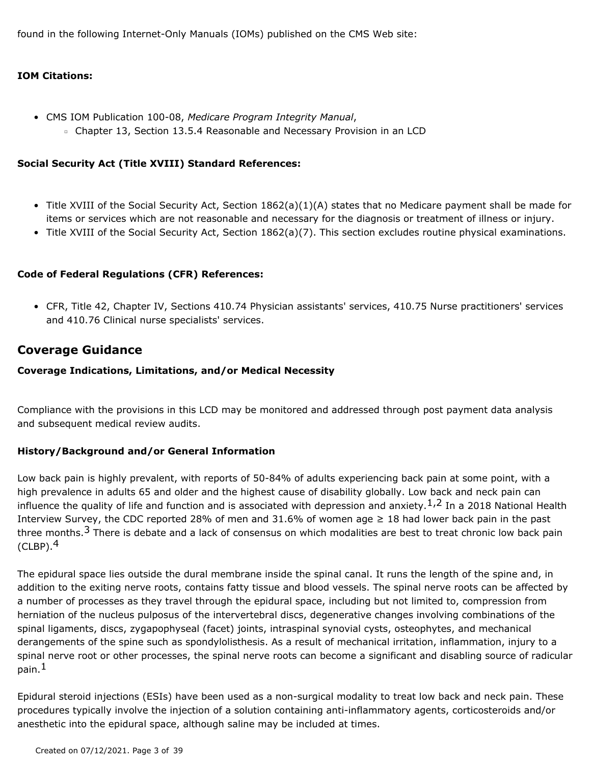found in the following Internet-Only Manuals (IOMs) published on the CMS Web site:

#### **IOM Citations:**

- CMS IOM Publication 100-08, *Medicare Program Integrity Manual*,
	- Chapter 13, Section 13.5.4 Reasonable and Necessary Provision in an LCD

#### **Social Security Act (Title XVIII) Standard References:**

- Title XVIII of the Social Security Act, Section 1862(a)(1)(A) states that no Medicare payment shall be made for items or services which are not reasonable and necessary for the diagnosis or treatment of illness or injury.
- Title XVIII of the Social Security Act, Section 1862(a)(7). This section excludes routine physical examinations.

#### **Code of Federal Regulations (CFR) References:**

CFR, Title 42, Chapter IV, Sections 410.74 Physician assistants' services, 410.75 Nurse practitioners' services • and 410.76 Clinical nurse specialists' services.

# **Coverage Guidance**

#### **Coverage Indications, Limitations, and/or Medical Necessity**

Compliance with the provisions in this LCD may be monitored and addressed through post payment data analysis and subsequent medical review audits.

#### **History/Background and/or General Information**

Low back pain is highly prevalent, with reports of 50-84% of adults experiencing back pain at some point, with a high prevalence in adults 65 and older and the highest cause of disability globally. Low back and neck pain can influence the quality of life and function and is associated with depression and anxiety.<sup>1,2</sup> In a 2018 National Health Interview Survey, the CDC reported 28% of men and 31.6% of women age  $\geq 18$  had lower back pain in the past three months.<sup>3</sup> There is debate and a lack of consensus on which modalities are best to treat chronic low back pain  $(CLBP).<sup>4</sup>$ 

The epidural space lies outside the dural membrane inside the spinal canal. It runs the length of the spine and, in addition to the exiting nerve roots, contains fatty tissue and blood vessels. The spinal nerve roots can be affected by a number of processes as they travel through the epidural space, including but not limited to, compression from herniation of the nucleus pulposus of the intervertebral discs, degenerative changes involving combinations of the spinal ligaments, discs, zygapophyseal (facet) joints, intraspinal synovial cysts, osteophytes, and mechanical derangements of the spine such as spondylolisthesis. As a result of mechanical irritation, inflammation, injury to a spinal nerve root or other processes, the spinal nerve roots can become a significant and disabling source of radicular pain.<sup>1</sup>

Epidural steroid injections (ESIs) have been used as a non-surgical modality to treat low back and neck pain. These procedures typically involve the injection of a solution containing anti-inflammatory agents, corticosteroids and/or anesthetic into the epidural space, although saline may be included at times.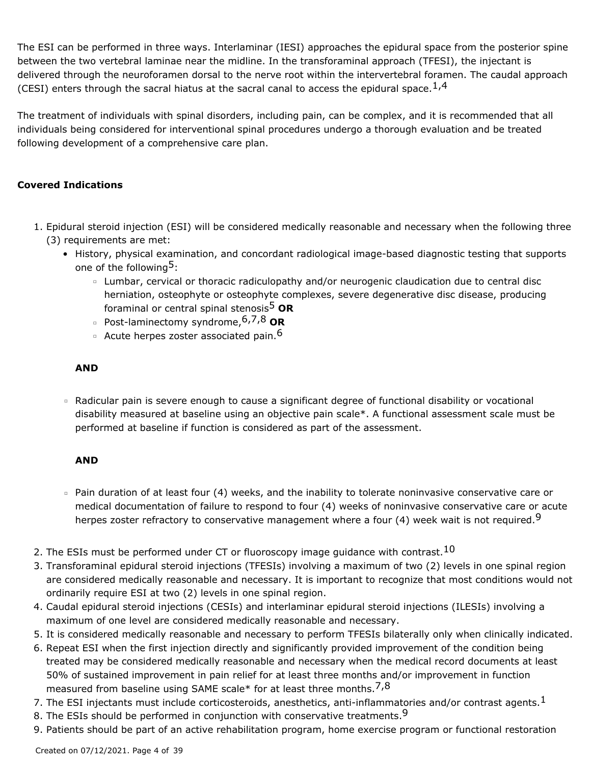The ESI can be performed in three ways. Interlaminar (IESI) approaches the epidural space from the posterior spine between the two vertebral laminae near the midline. In the transforaminal approach (TFESI), the injectant is delivered through the neuroforamen dorsal to the nerve root within the intervertebral foramen. The caudal approach (CESI) enters through the sacral hiatus at the sacral canal to access the epidural space.  $1.4$ 

The treatment of individuals with spinal disorders, including pain, can be complex, and it is recommended that all individuals being considered for interventional spinal procedures undergo a thorough evaluation and be treated following development of a comprehensive care plan.

### **Covered Indications**

- 1. Epidural steroid injection (ESI) will be considered medically reasonable and necessary when the following three (3) requirements are met:
	- History, physical examination, and concordant radiological image-based diagnostic testing that supports one of the following<sup>5</sup>:
		- Lumbar, cervical or thoracic radiculopathy and/or neurogenic claudication due to central disc herniation, osteophyte or osteophyte complexes, severe degenerative disc disease, producing foraminal or central spinal stenosis5 **OR**
		- Post-laminectomy syndrome, 6,7,8 **OR**
		- <sup>o</sup> Acute herpes zoster associated pain.<sup>6</sup>

#### **AND**

Radicular pain is severe enough to cause a significant degree of functional disability or vocational disability measured at baseline using an objective pain scale\*. A functional assessment scale must be performed at baseline if function is considered as part of the assessment.

#### **AND**

- Pain duration of at least four (4) weeks, and the inability to tolerate noninvasive conservative care or medical documentation of failure to respond to four (4) weeks of noninvasive conservative care or acute herpes zoster refractory to conservative management where a four (4) week wait is not required.<sup>9</sup>
- 2. The ESIs must be performed under CT or fluoroscopy image guidance with contrast.<sup>10</sup>
- 3. Transforaminal epidural steroid injections (TFESIs) involving a maximum of two (2) levels in one spinal region are considered medically reasonable and necessary. It is important to recognize that most conditions would not ordinarily require ESI at two (2) levels in one spinal region.
- 4. Caudal epidural steroid injections (CESIs) and interlaminar epidural steroid injections (ILESIs) involving a maximum of one level are considered medically reasonable and necessary.
- 5. It is considered medically reasonable and necessary to perform TFESIs bilaterally only when clinically indicated.
- 6. Repeat ESI when the first injection directly and significantly provided improvement of the condition being treated may be considered medically reasonable and necessary when the medical record documents at least 50% of sustained improvement in pain relief for at least three months and/or improvement in function measured from baseline using SAME scale\* for at least three months.  $7,8$
- 7. The ESI injectants must include corticosteroids, anesthetics, anti-inflammatories and/or contrast agents.<sup>1</sup>
- 8. The ESIs should be performed in conjunction with conservative treatments.<sup>9</sup>
- 9. Patients should be part of an active rehabilitation program, home exercise program or functional restoration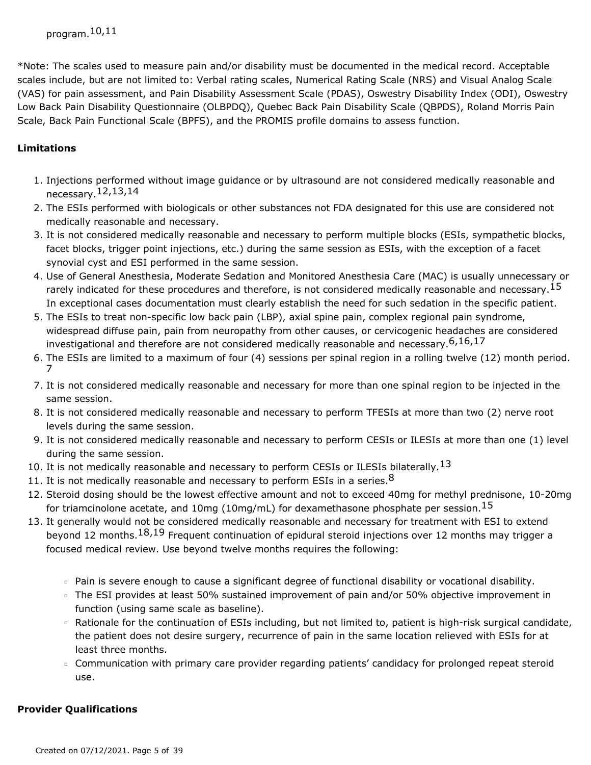\*Note: The scales used to measure pain and/or disability must be documented in the medical record. Acceptable scales include, but are not limited to: Verbal rating scales, Numerical Rating Scale (NRS) and Visual Analog Scale (VAS) for pain assessment, and Pain Disability Assessment Scale (PDAS), Oswestry Disability Index (ODI), Oswestry Low Back Pain Disability Questionnaire (OLBPDQ), Quebec Back Pain Disability Scale (QBPDS), Roland Morris Pain Scale, Back Pain Functional Scale (BPFS), and the PROMIS profile domains to assess function.

# **Limitations**

- 1. Injections performed without image guidance or by ultrasound are not considered medically reasonable and necessary.12,13,14
- 2. The ESIs performed with biologicals or other substances not FDA designated for this use are considered not medically reasonable and necessary.
- 3. It is not considered medically reasonable and necessary to perform multiple blocks (ESIs, sympathetic blocks, facet blocks, trigger point injections, etc.) during the same session as ESIs, with the exception of a facet synovial cyst and ESI performed in the same session.
- 4. Use of General Anesthesia, Moderate Sedation and Monitored Anesthesia Care (MAC) is usually unnecessary or rarely indicated for these procedures and therefore, is not considered medically reasonable and necessary.<sup>15</sup> In exceptional cases documentation must clearly establish the need for such sedation in the specific patient.
- 5. The ESIs to treat non-specific low back pain (LBP), axial spine pain, complex regional pain syndrome, widespread diffuse pain, pain from neuropathy from other causes, or cervicogenic headaches are considered investigational and therefore are not considered medically reasonable and necessary.6,16,17
- 6. The ESIs are limited to a maximum of four (4) sessions per spinal region in a rolling twelve (12) month period. 7
- 7. It is not considered medically reasonable and necessary for more than one spinal region to be injected in the same session.
- 8. It is not considered medically reasonable and necessary to perform TFESIs at more than two (2) nerve root levels during the same session.
- 9. It is not considered medically reasonable and necessary to perform CESIs or ILESIs at more than one (1) level during the same session.
- 10. It is not medically reasonable and necessary to perform CESIs or ILESIs bilaterally.<sup>13</sup>
- 11. It is not medically reasonable and necessary to perform ESIs in a series.  $8$
- 12. Steroid dosing should be the lowest effective amount and not to exceed 40mg for methyl prednisone, 10-20mg for triamcinolone acetate, and 10mg (10mg/mL) for dexamethasone phosphate per session.<sup>15</sup>
- 13. It generally would not be considered medically reasonable and necessary for treatment with ESI to extend beyond 12 months.<sup>18,19</sup> Frequent continuation of epidural steroid injections over 12 months may trigger a focused medical review. Use beyond twelve months requires the following:
	- Pain is severe enough to cause a significant degree of functional disability or vocational disability.
	- The ESI provides at least 50% sustained improvement of pain and/or 50% objective improvement in function (using same scale as baseline).
	- Rationale for the continuation of ESIs including, but not limited to, patient is high-risk surgical candidate, the patient does not desire surgery, recurrence of pain in the same location relieved with ESIs for at least three months.
	- Communication with primary care provider regarding patients' candidacy for prolonged repeat steroid use.

### **Provider Qualifications**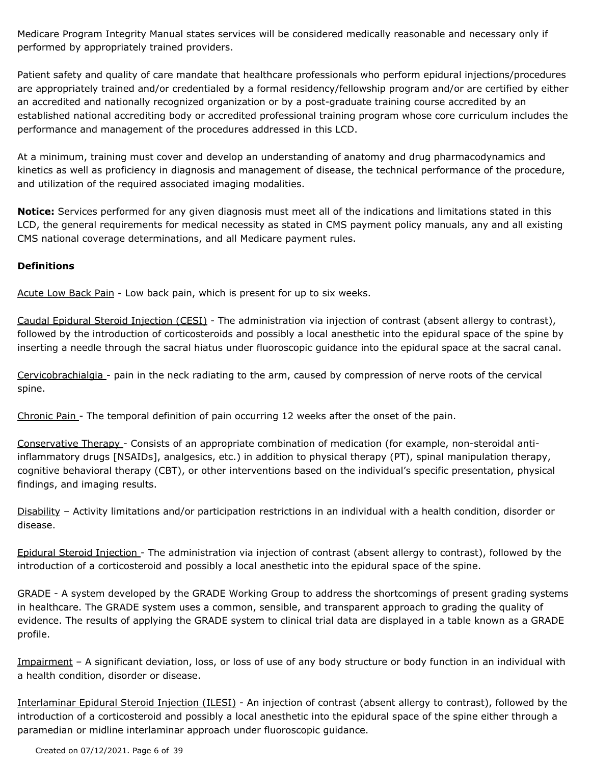Medicare Program Integrity Manual states services will be considered medically reasonable and necessary only if performed by appropriately trained providers.

Patient safety and quality of care mandate that healthcare professionals who perform epidural injections/procedures are appropriately trained and/or credentialed by a formal residency/fellowship program and/or are certified by either an accredited and nationally recognized organization or by a post-graduate training course accredited by an established national accrediting body or accredited professional training program whose core curriculum includes the performance and management of the procedures addressed in this LCD.

At a minimum, training must cover and develop an understanding of anatomy and drug pharmacodynamics and kinetics as well as proficiency in diagnosis and management of disease, the technical performance of the procedure, and utilization of the required associated imaging modalities.

**Notice:** Services performed for any given diagnosis must meet all of the indications and limitations stated in this LCD, the general requirements for medical necessity as stated in CMS payment policy manuals, any and all existing CMS national coverage determinations, and all Medicare payment rules.

#### **Definitions**

Acute Low Back Pain - Low back pain, which is present for up to six weeks.

Caudal Epidural Steroid Injection (CESI) - The administration via injection of contrast (absent allergy to contrast), followed by the introduction of corticosteroids and possibly a local anesthetic into the epidural space of the spine by inserting a needle through the sacral hiatus under fluoroscopic guidance into the epidural space at the sacral canal.

Cervicobrachialgia - pain in the neck radiating to the arm, caused by compression of nerve roots of the cervical spine.

Chronic Pain - The temporal definition of pain occurring 12 weeks after the onset of the pain.

Conservative Therapy - Consists of an appropriate combination of medication (for example, non-steroidal antiinflammatory drugs [NSAIDs], analgesics, etc.) in addition to physical therapy (PT), spinal manipulation therapy, cognitive behavioral therapy (CBT), or other interventions based on the individual's specific presentation, physical findings, and imaging results.

Disability – Activity limitations and/or participation restrictions in an individual with a health condition, disorder or disease.

Epidural Steroid Injection - The administration via injection of contrast (absent allergy to contrast), followed by the introduction of a corticosteroid and possibly a local anesthetic into the epidural space of the spine.

GRADE - A system developed by the GRADE Working Group to address the shortcomings of present grading systems in healthcare. The GRADE system uses a common, sensible, and transparent approach to grading the quality of evidence. The results of applying the GRADE system to clinical trial data are displayed in a table known as a GRADE profile.

Impairment - A significant deviation, loss, or loss of use of any body structure or body function in an individual with a health condition, disorder or disease.

Interlaminar Epidural Steroid Injection (ILESI) - An injection of contrast (absent allergy to contrast), followed by the introduction of a corticosteroid and possibly a local anesthetic into the epidural space of the spine either through a paramedian or midline interlaminar approach under fluoroscopic guidance.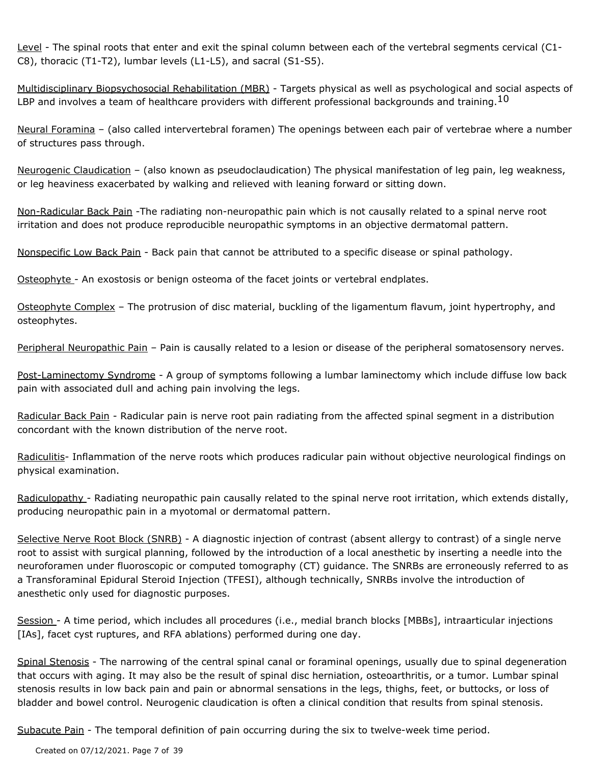Level - The spinal roots that enter and exit the spinal column between each of the vertebral segments cervical (C1-C8), thoracic (T1-T2), lumbar levels (L1-L5), and sacral (S1-S5).

Multidisciplinary Biopsychosocial Rehabilitation (MBR) - Targets physical as well as psychological and social aspects of LBP and involves a team of healthcare providers with different professional backgrounds and training.  $^{10}$ 

Neural Foramina – (also called intervertebral foramen) The openings between each pair of vertebrae where a number of structures pass through.

Neurogenic Claudication - (also known as pseudoclaudication) The physical manifestation of leg pain, leg weakness, or leg heaviness exacerbated by walking and relieved with leaning forward or sitting down.

Non-Radicular Back Pain -The radiating non-neuropathic pain which is not causally related to a spinal nerve root irritation and does not produce reproducible neuropathic symptoms in an objective dermatomal pattern.

Nonspecific Low Back Pain - Back pain that cannot be attributed to a specific disease or spinal pathology.

Osteophyte - An exostosis or benign osteoma of the facet joints or vertebral endplates.

Osteophyte Complex – The protrusion of disc material, buckling of the ligamentum flavum, joint hypertrophy, and osteophytes.

Peripheral Neuropathic Pain – Pain is causally related to a lesion or disease of the peripheral somatosensory nerves.

Post-Laminectomy Syndrome - A group of symptoms following a lumbar laminectomy which include diffuse low back pain with associated dull and aching pain involving the legs.

Radicular Back Pain - Radicular pain is nerve root pain radiating from the affected spinal segment in a distribution concordant with the known distribution of the nerve root.

Radiculitis- Inflammation of the nerve roots which produces radicular pain without objective neurological findings on physical examination.

Radiculopathy - Radiating neuropathic pain causally related to the spinal nerve root irritation, which extends distally, producing neuropathic pain in a myotomal or dermatomal pattern.

Selective Nerve Root Block (SNRB) - A diagnostic injection of contrast (absent allergy to contrast) of a single nerve root to assist with surgical planning, followed by the introduction of a local anesthetic by inserting a needle into the neuroforamen under fluoroscopic or computed tomography (CT) guidance. The SNRBs are erroneously referred to as a Transforaminal Epidural Steroid Injection (TFESI), although technically, SNRBs involve the introduction of anesthetic only used for diagnostic purposes.

Session - A time period, which includes all procedures (i.e., medial branch blocks [MBBs], intraarticular injections [IAs], facet cyst ruptures, and RFA ablations) performed during one day.

Spinal Stenosis - The narrowing of the central spinal canal or foraminal openings, usually due to spinal degeneration that occurs with aging. It may also be the result of spinal disc herniation, osteoarthritis, or a tumor. Lumbar spinal stenosis results in low back pain and pain or abnormal sensations in the legs, thighs, feet, or buttocks, or loss of bladder and bowel control. Neurogenic claudication is often a clinical condition that results from spinal stenosis.

Subacute Pain - The temporal definition of pain occurring during the six to twelve-week time period.

Created on 07/12/2021. Page 7 of 39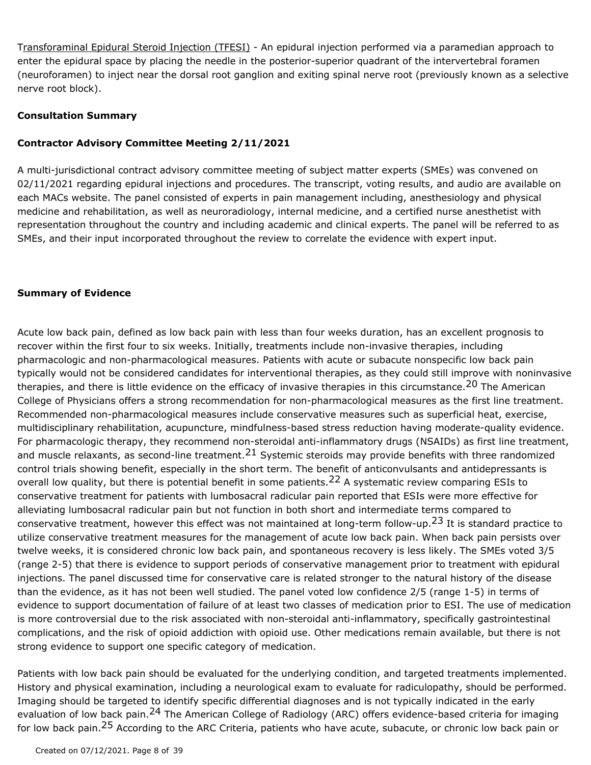Transforaminal Epidural Steroid Injection (TFESI) - An epidural injection performed via a paramedian approach to enter the epidural space by placing the needle in the posterior-superior quadrant of the intervertebral foramen (neuroforamen) to inject near the dorsal root ganglion and exiting spinal nerve root (previously known as a selective nerve root block).

#### **Consultation Summary**

#### **Contractor Advisory Committee Meeting 2/11/2021**

A multi-jurisdictional contract advisory committee meeting of subject matter experts (SMEs) was convened on 02/11/2021 regarding epidural injections and procedures. The transcript, voting results, and audio are available on each MACs website. The panel consisted of experts in pain management including, anesthesiology and physical medicine and rehabilitation, as well as neuroradiology, internal medicine, and a certified nurse anesthetist with representation throughout the country and including academic and clinical experts. The panel will be referred to as SMEs, and their input incorporated throughout the review to correlate the evidence with expert input.

#### **Summary of Evidence**

Acute low back pain, defined as low back pain with less than four weeks duration, has an excellent prognosis to recover within the first four to six weeks. Initially, treatments include non-invasive therapies, including pharmacologic and non-pharmacological measures. Patients with acute or subacute nonspecific low back pain typically would not be considered candidates for interventional therapies, as they could still improve with noninvasive therapies, and there is little evidence on the efficacy of invasive therapies in this circumstance.<sup>20</sup> The American College of Physicians offers a strong recommendation for non-pharmacological measures as the first line treatment. Recommended non-pharmacological measures include conservative measures such as superficial heat, exercise, multidisciplinary rehabilitation, acupuncture, mindfulness-based stress reduction having moderate-quality evidence. For pharmacologic therapy, they recommend non-steroidal anti-inflammatory drugs (NSAIDs) as first line treatment, and muscle relaxants, as second-line treatment.<sup>21</sup> Systemic steroids may provide benefits with three randomized control trials showing benefit, especially in the short term. The benefit of anticonvulsants and antidepressants is overall low quality, but there is potential benefit in some patients.<sup>22</sup> A systematic review comparing ESIs to conservative treatment for patients with lumbosacral radicular pain reported that ESIs were more effective for alleviating lumbosacral radicular pain but not function in both short and intermediate terms compared to conservative treatment, however this effect was not maintained at long-term follow-up.<sup>23</sup> It is standard practice to utilize conservative treatment measures for the management of acute low back pain. When back pain persists over twelve weeks, it is considered chronic low back pain, and spontaneous recovery is less likely. The SMEs voted 3/5 (range 2-5) that there is evidence to support periods of conservative management prior to treatment with epidural injections. The panel discussed time for conservative care is related stronger to the natural history of the disease than the evidence, as it has not been well studied. The panel voted low confidence 2/5 (range 1-5) in terms of evidence to support documentation of failure of at least two classes of medication prior to ESI. The use of medication is more controversial due to the risk associated with non-steroidal anti-inflammatory, specifically gastrointestinal complications, and the risk of opioid addiction with opioid use. Other medications remain available, but there is not strong evidence to support one specific category of medication.

Patients with low back pain should be evaluated for the underlying condition, and targeted treatments implemented. History and physical examination, including a neurological exam to evaluate for radiculopathy, should be performed. Imaging should be targeted to identify specific differential diagnoses and is not typically indicated in the early evaluation of low back pain.<sup>24</sup> The American College of Radiology (ARC) offers evidence-based criteria for imaging for low back pain.<sup>25</sup> According to the ARC Criteria, patients who have acute, subacute, or chronic low back pain or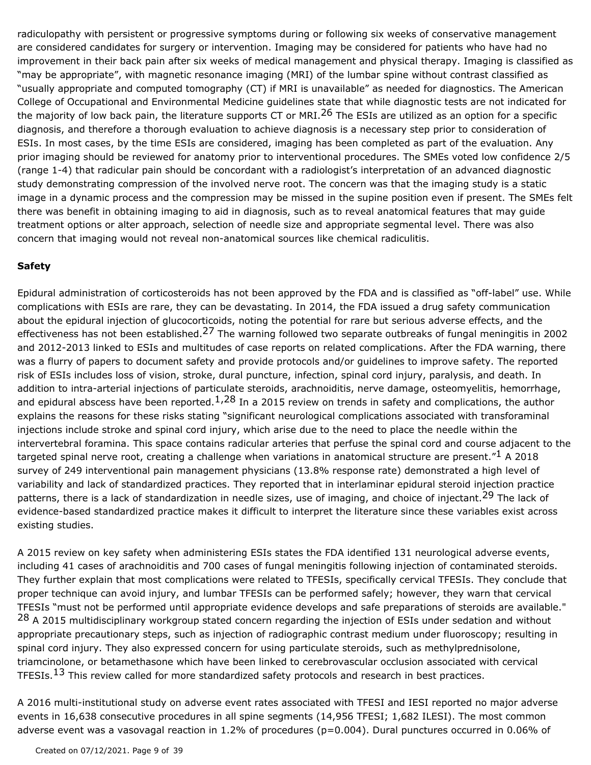radiculopathy with persistent or progressive symptoms during or following six weeks of conservative management are considered candidates for surgery or intervention. Imaging may be considered for patients who have had no improvement in their back pain after six weeks of medical management and physical therapy. Imaging is classified as "may be appropriate", with magnetic resonance imaging (MRI) of the lumbar spine without contrast classified as "usually appropriate and computed tomography (CT) if MRI is unavailable" as needed for diagnostics. The American College of Occupational and Environmental Medicine guidelines state that while diagnostic tests are not indicated for the majority of low back pain, the literature supports CT or MRI.<sup>26</sup> The ESIs are utilized as an option for a specific diagnosis, and therefore a thorough evaluation to achieve diagnosis is a necessary step prior to consideration of ESIs. In most cases, by the time ESIs are considered, imaging has been completed as part of the evaluation. Any prior imaging should be reviewed for anatomy prior to interventional procedures. The SMEs voted low confidence 2/5 (range 1-4) that radicular pain should be concordant with a radiologist's interpretation of an advanced diagnostic study demonstrating compression of the involved nerve root. The concern was that the imaging study is a static image in a dynamic process and the compression may be missed in the supine position even if present. The SMEs felt there was benefit in obtaining imaging to aid in diagnosis, such as to reveal anatomical features that may guide treatment options or alter approach, selection of needle size and appropriate segmental level. There was also concern that imaging would not reveal non-anatomical sources like chemical radiculitis.

## **Safety**

Epidural administration of corticosteroids has not been approved by the FDA and is classified as "off-label" use. While complications with ESIs are rare, they can be devastating. In 2014, the FDA issued a drug safety communication about the epidural injection of glucocorticoids, noting the potential for rare but serious adverse effects, and the effectiveness has not been established.<sup>27</sup> The warning followed two separate outbreaks of fungal meningitis in 2002 and 2012-2013 linked to ESIs and multitudes of case reports on related complications. After the FDA warning, there was a flurry of papers to document safety and provide protocols and/or guidelines to improve safety. The reported risk of ESIs includes loss of vision, stroke, dural puncture, infection, spinal cord injury, paralysis, and death. In addition to intra-arterial injections of particulate steroids, arachnoiditis, nerve damage, osteomyelitis, hemorrhage, and epidural abscess have been reported.<sup>1,28</sup> In a 2015 review on trends in safety and complications, the author explains the reasons for these risks stating "significant neurological complications associated with transforaminal injections include stroke and spinal cord injury, which arise due to the need to place the needle within the intervertebral foramina. This space contains radicular arteries that perfuse the spinal cord and course adjacent to the targeted spinal nerve root, creating a challenge when variations in anatomical structure are present."<sup>1</sup> A 2018 survey of 249 interventional pain management physicians (13.8% response rate) demonstrated a high level of variability and lack of standardized practices. They reported that in interlaminar epidural steroid injection practice patterns, there is a lack of standardization in needle sizes, use of imaging, and choice of injectant.<sup>29</sup> The lack of evidence-based standardized practice makes it difficult to interpret the literature since these variables exist across existing studies.

A 2015 review on key safety when administering ESIs states the FDA identified 131 neurological adverse events, including 41 cases of arachnoiditis and 700 cases of fungal meningitis following injection of contaminated steroids. They further explain that most complications were related to TFESIs, specifically cervical TFESIs. They conclude that proper technique can avoid injury, and lumbar TFESIs can be performed safely; however, they warn that cervical TFESIs "must not be performed until appropriate evidence develops and safe preparations of steroids are available." <sup>28</sup> A 2015 multidisciplinary workgroup stated concern regarding the injection of ESIs under sedation and without appropriate precautionary steps, such as injection of radiographic contrast medium under fluoroscopy; resulting in spinal cord injury. They also expressed concern for using particulate steroids, such as methylprednisolone, triamcinolone, or betamethasone which have been linked to cerebrovascular occlusion associated with cervical TFESIs.<sup>13</sup> This review called for more standardized safety protocols and research in best practices.

A 2016 multi-institutional study on adverse event rates associated with TFESI and IESI reported no major adverse events in 16,638 consecutive procedures in all spine segments (14,956 TFESI; 1,682 ILESI). The most common adverse event was a vasovagal reaction in 1.2% of procedures (p=0.004). Dural punctures occurred in 0.06% of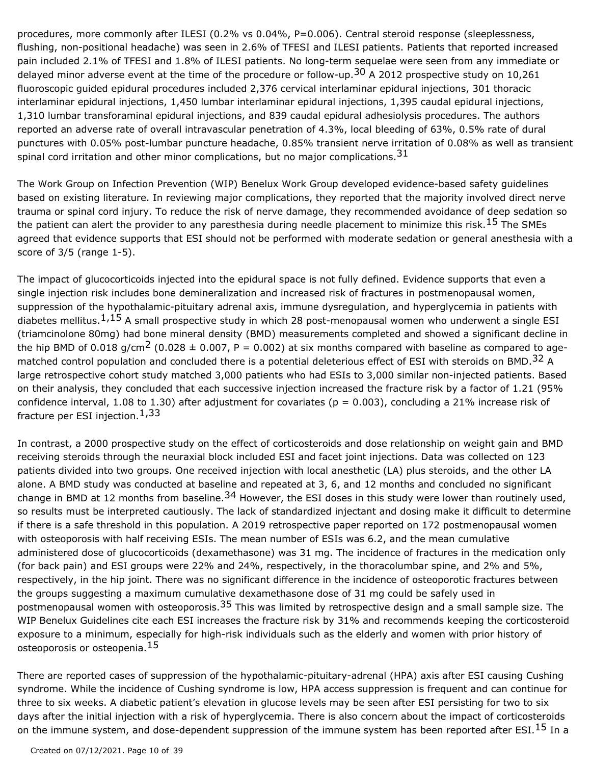procedures, more commonly after ILESI (0.2% vs 0.04%, P=0.006). Central steroid response (sleeplessness, flushing, non-positional headache) was seen in 2.6% of TFESI and ILESI patients. Patients that reported increased pain included 2.1% of TFESI and 1.8% of ILESI patients. No long-term sequelae were seen from any immediate or delayed minor adverse event at the time of the procedure or follow-up.<sup>30</sup> A 2012 prospective study on 10,261 fluoroscopic guided epidural procedures included 2,376 cervical interlaminar epidural injections, 301 thoracic interlaminar epidural injections, 1,450 lumbar interlaminar epidural injections, 1,395 caudal epidural injections, 1,310 lumbar transforaminal epidural injections, and 839 caudal epidural adhesiolysis procedures. The authors reported an adverse rate of overall intravascular penetration of 4.3%, local bleeding of 63%, 0.5% rate of dural punctures with 0.05% post-lumbar puncture headache, 0.85% transient nerve irritation of 0.08% as well as transient spinal cord irritation and other minor complications, but no major complications.  $31$ 

The Work Group on Infection Prevention (WIP) Benelux Work Group developed evidence-based safety guidelines based on existing literature. In reviewing major complications, they reported that the majority involved direct nerve trauma or spinal cord injury. To reduce the risk of nerve damage, they recommended avoidance of deep sedation so the patient can alert the provider to any paresthesia during needle placement to minimize this risk.<sup>15</sup> The SMEs agreed that evidence supports that ESI should not be performed with moderate sedation or general anesthesia with a score of 3/5 (range 1-5).

The impact of glucocorticoids injected into the epidural space is not fully defined. Evidence supports that even a single injection risk includes bone demineralization and increased risk of fractures in postmenopausal women, suppression of the hypothalamic-pituitary adrenal axis, immune dysregulation, and hyperglycemia in patients with diabetes mellitus. $1,15$  A small prospective study in which 28 post-menopausal women who underwent a single ESI (triamcinolone 80mg) had bone mineral density (BMD) measurements completed and showed a significant decline in the hip BMD of 0.018 g/cm<sup>2</sup> (0.028  $\pm$  0.007, P = 0.002) at six months compared with baseline as compared to agematched control population and concluded there is a potential deleterious effect of ESI with steroids on BMD.<sup>32</sup> A large retrospective cohort study matched 3,000 patients who had ESIs to 3,000 similar non-injected patients. Based on their analysis, they concluded that each successive injection increased the fracture risk by a factor of 1.21 (95% confidence interval, 1.08 to 1.30) after adjustment for covariates ( $p = 0.003$ ), concluding a 21% increase risk of fracture per ESI injection.  $1,33$ 

In contrast, a 2000 prospective study on the effect of corticosteroids and dose relationship on weight gain and BMD receiving steroids through the neuraxial block included ESI and facet joint injections. Data was collected on 123 patients divided into two groups. One received injection with local anesthetic (LA) plus steroids, and the other LA alone. A BMD study was conducted at baseline and repeated at 3, 6, and 12 months and concluded no significant change in BMD at 12 months from baseline.<sup>34</sup> However, the ESI doses in this study were lower than routinely used, so results must be interpreted cautiously. The lack of standardized injectant and dosing make it difficult to determine if there is a safe threshold in this population. A 2019 retrospective paper reported on 172 postmenopausal women with osteoporosis with half receiving ESIs. The mean number of ESIs was 6.2, and the mean cumulative administered dose of glucocorticoids (dexamethasone) was 31 mg. The incidence of fractures in the medication only (for back pain) and ESI groups were 22% and 24%, respectively, in the thoracolumbar spine, and 2% and 5%, respectively, in the hip joint. There was no significant difference in the incidence of osteoporotic fractures between the groups suggesting a maximum cumulative dexamethasone dose of 31 mg could be safely used in postmenopausal women with osteoporosis.<sup>35</sup> This was limited by retrospective design and a small sample size. The WIP Benelux Guidelines cite each ESI increases the fracture risk by 31% and recommends keeping the corticosteroid exposure to a minimum, especially for high-risk individuals such as the elderly and women with prior history of osteoporosis or osteopenia.<sup>15</sup>

There are reported cases of suppression of the hypothalamic-pituitary-adrenal (HPA) axis after ESI causing Cushing syndrome. While the incidence of Cushing syndrome is low, HPA access suppression is frequent and can continue for three to six weeks. A diabetic patient's elevation in glucose levels may be seen after ESI persisting for two to six days after the initial injection with a risk of hyperglycemia. There is also concern about the impact of corticosteroids on the immune system, and dose-dependent suppression of the immune system has been reported after ESI.<sup>15</sup> In a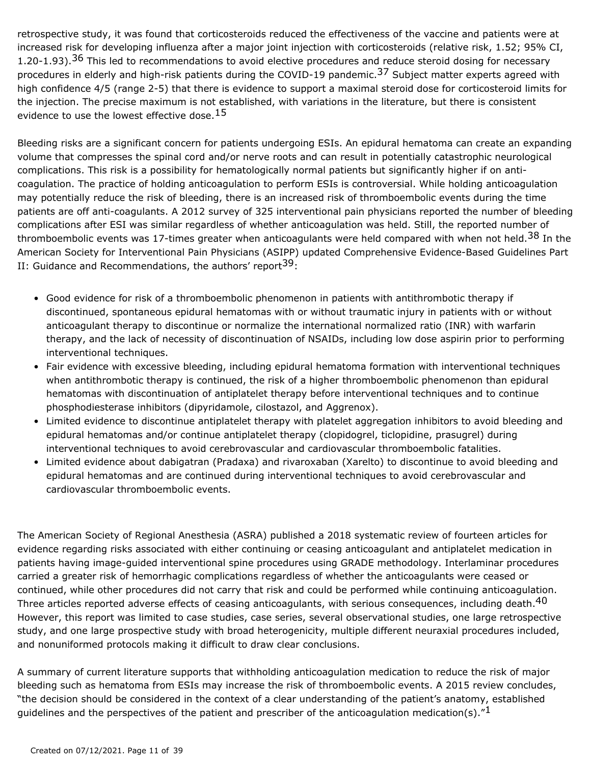retrospective study, it was found that corticosteroids reduced the effectiveness of the vaccine and patients were at increased risk for developing influenza after a major joint injection with corticosteroids (relative risk, 1.52; 95% CI, 1.20-1.93).<sup>36</sup> This led to recommendations to avoid elective procedures and reduce steroid dosing for necessary procedures in elderly and high-risk patients during the COVID-19 pandemic.<sup>37</sup> Subject matter experts agreed with high confidence 4/5 (range 2-5) that there is evidence to support a maximal steroid dose for corticosteroid limits for the injection. The precise maximum is not established, with variations in the literature, but there is consistent evidence to use the lowest effective dose.  $15$ 

Bleeding risks are a significant concern for patients undergoing ESIs. An epidural hematoma can create an expanding volume that compresses the spinal cord and/or nerve roots and can result in potentially catastrophic neurological complications. This risk is a possibility for hematologically normal patients but significantly higher if on anticoagulation. The practice of holding anticoagulation to perform ESIs is controversial. While holding anticoagulation may potentially reduce the risk of bleeding, there is an increased risk of thromboembolic events during the time patients are off anti-coagulants. A 2012 survey of 325 interventional pain physicians reported the number of bleeding complications after ESI was similar regardless of whether anticoagulation was held. Still, the reported number of thromboembolic events was 17-times greater when anticoagulants were held compared with when not held.<sup>38</sup> In the American Society for Interventional Pain Physicians (ASIPP) updated Comprehensive Evidence-Based Guidelines Part II: Guidance and Recommendations, the authors' report<sup>39</sup>:

- Good evidence for risk of a thromboembolic phenomenon in patients with antithrombotic therapy if discontinued, spontaneous epidural hematomas with or without traumatic injury in patients with or without anticoagulant therapy to discontinue or normalize the international normalized ratio (INR) with warfarin therapy, and the lack of necessity of discontinuation of NSAIDs, including low dose aspirin prior to performing interventional techniques.
- Fair evidence with excessive bleeding, including epidural hematoma formation with interventional techniques when antithrombotic therapy is continued, the risk of a higher thromboembolic phenomenon than epidural hematomas with discontinuation of antiplatelet therapy before interventional techniques and to continue phosphodiesterase inhibitors (dipyridamole, cilostazol, and Aggrenox). •
- Limited evidence to discontinue antiplatelet therapy with platelet aggregation inhibitors to avoid bleeding and epidural hematomas and/or continue antiplatelet therapy (clopidogrel, ticlopidine, prasugrel) during interventional techniques to avoid cerebrovascular and cardiovascular thromboembolic fatalities.
- Limited evidence about dabigatran (Pradaxa) and rivaroxaban (Xarelto) to discontinue to avoid bleeding and epidural hematomas and are continued during interventional techniques to avoid cerebrovascular and cardiovascular thromboembolic events.

The American Society of Regional Anesthesia (ASRA) published a 2018 systematic review of fourteen articles for evidence regarding risks associated with either continuing or ceasing anticoagulant and antiplatelet medication in patients having image-guided interventional spine procedures using GRADE methodology. Interlaminar procedures carried a greater risk of hemorrhagic complications regardless of whether the anticoagulants were ceased or continued, while other procedures did not carry that risk and could be performed while continuing anticoagulation. Three articles reported adverse effects of ceasing anticoagulants, with serious consequences, including death.<sup>40</sup> However, this report was limited to case studies, case series, several observational studies, one large retrospective study, and one large prospective study with broad heterogenicity, multiple different neuraxial procedures included, and nonuniformed protocols making it difficult to draw clear conclusions.

A summary of current literature supports that withholding anticoagulation medication to reduce the risk of major bleeding such as hematoma from ESIs may increase the risk of thromboembolic events. A 2015 review concludes, "the decision should be considered in the context of a clear understanding of the patient's anatomy, established quidelines and the perspectives of the patient and prescriber of the anticoagulation medication(s).<sup>"1</sup>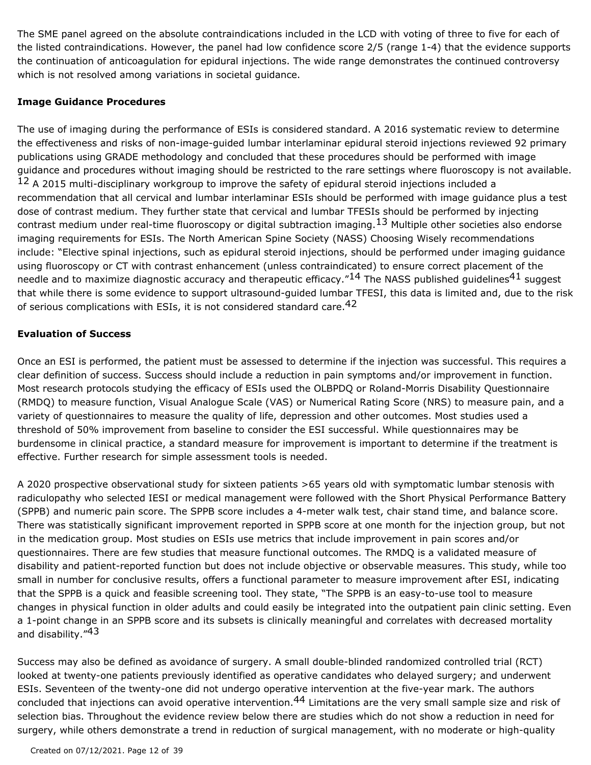The SME panel agreed on the absolute contraindications included in the LCD with voting of three to five for each of the listed contraindications. However, the panel had low confidence score 2/5 (range 1-4) that the evidence supports the continuation of anticoagulation for epidural injections. The wide range demonstrates the continued controversy which is not resolved among variations in societal guidance.

#### **Image Guidance Procedures**

The use of imaging during the performance of ESIs is considered standard. A 2016 systematic review to determine the effectiveness and risks of non-image-guided lumbar interlaminar epidural steroid injections reviewed 92 primary publications using GRADE methodology and concluded that these procedures should be performed with image guidance and procedures without imaging should be restricted to the rare settings where fluoroscopy is not available. <sup>12</sup> A 2015 multi-disciplinary workgroup to improve the safety of epidural steroid injections included a recommendation that all cervical and lumbar interlaminar ESIs should be performed with image guidance plus a test dose of contrast medium. They further state that cervical and lumbar TFESIs should be performed by injecting contrast medium under real-time fluoroscopy or digital subtraction imaging.  $^{13}$  Multiple other societies also endorse imaging requirements for ESIs. The North American Spine Society (NASS) Choosing Wisely recommendations include: "Elective spinal injections, such as epidural steroid injections, should be performed under imaging guidance using fluoroscopy or CT with contrast enhancement (unless contraindicated) to ensure correct placement of the needle and to maximize diagnostic accuracy and therapeutic efficacy." $14$  The NASS published guidelines $41$  suggest that while there is some evidence to support ultrasound-guided lumbar TFESI, this data is limited and, due to the risk of serious complications with ESIs, it is not considered standard care.  $42$ 

### **Evaluation of Success**

Once an ESI is performed, the patient must be assessed to determine if the injection was successful. This requires a clear definition of success. Success should include a reduction in pain symptoms and/or improvement in function. Most research protocols studying the efficacy of ESIs used the OLBPDQ or Roland-Morris Disability Questionnaire (RMDQ) to measure function, Visual Analogue Scale (VAS) or Numerical Rating Score (NRS) to measure pain, and a variety of questionnaires to measure the quality of life, depression and other outcomes. Most studies used a threshold of 50% improvement from baseline to consider the ESI successful. While questionnaires may be burdensome in clinical practice, a standard measure for improvement is important to determine if the treatment is effective. Further research for simple assessment tools is needed.

A 2020 prospective observational study for sixteen patients >65 years old with symptomatic lumbar stenosis with radiculopathy who selected IESI or medical management were followed with the Short Physical Performance Battery (SPPB) and numeric pain score. The SPPB score includes a 4-meter walk test, chair stand time, and balance score. There was statistically significant improvement reported in SPPB score at one month for the injection group, but not in the medication group. Most studies on ESIs use metrics that include improvement in pain scores and/or questionnaires. There are few studies that measure functional outcomes. The RMDQ is a validated measure of disability and patient-reported function but does not include objective or observable measures. This study, while too small in number for conclusive results, offers a functional parameter to measure improvement after ESI, indicating that the SPPB is a quick and feasible screening tool. They state, "The SPPB is an easy-to-use tool to measure changes in physical function in older adults and could easily be integrated into the outpatient pain clinic setting. Even a 1-point change in an SPPB score and its subsets is clinically meaningful and correlates with decreased mortality and disability."<sup>43</sup>

Success may also be defined as avoidance of surgery. A small double-blinded randomized controlled trial (RCT) looked at twenty-one patients previously identified as operative candidates who delayed surgery; and underwent ESIs. Seventeen of the twenty-one did not undergo operative intervention at the five-year mark. The authors concluded that injections can avoid operative intervention.<sup>44</sup> Limitations are the very small sample size and risk of selection bias. Throughout the evidence review below there are studies which do not show a reduction in need for surgery, while others demonstrate a trend in reduction of surgical management, with no moderate or high-quality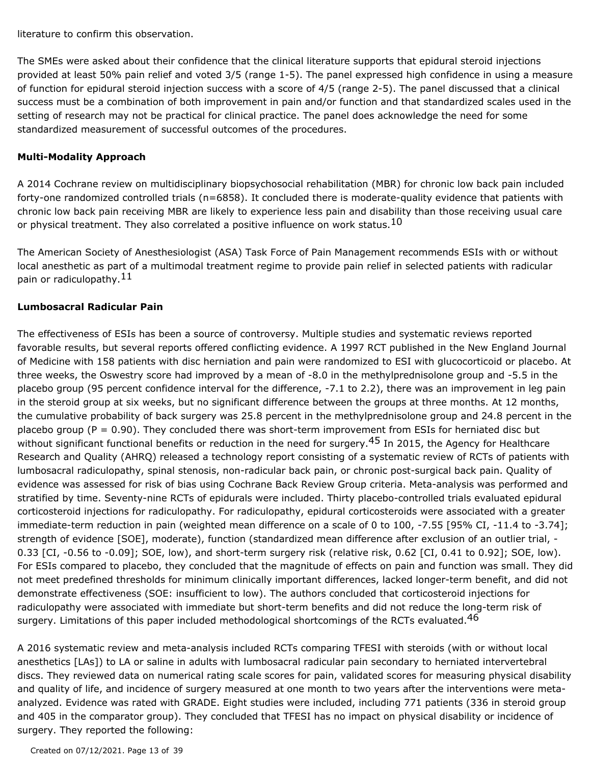literature to confirm this observation.

The SMEs were asked about their confidence that the clinical literature supports that epidural steroid injections provided at least 50% pain relief and voted 3/5 (range 1-5). The panel expressed high confidence in using a measure of function for epidural steroid injection success with a score of 4/5 (range 2-5). The panel discussed that a clinical success must be a combination of both improvement in pain and/or function and that standardized scales used in the setting of research may not be practical for clinical practice. The panel does acknowledge the need for some standardized measurement of successful outcomes of the procedures.

#### **Multi-Modality Approach**

A 2014 Cochrane review on multidisciplinary biopsychosocial rehabilitation (MBR) for chronic low back pain included forty-one randomized controlled trials (n=6858). It concluded there is moderate-quality evidence that patients with chronic low back pain receiving MBR are likely to experience less pain and disability than those receiving usual care or physical treatment. They also correlated a positive influence on work status. $^{10}$ 

The American Society of Anesthesiologist (ASA) Task Force of Pain Management recommends ESIs with or without local anesthetic as part of a multimodal treatment regime to provide pain relief in selected patients with radicular pain or radiculopathy. 11

#### **Lumbosacral Radicular Pain**

The effectiveness of ESIs has been a source of controversy. Multiple studies and systematic reviews reported favorable results, but several reports offered conflicting evidence. A 1997 RCT published in the New England Journal of Medicine with 158 patients with disc herniation and pain were randomized to ESI with glucocorticoid or placebo. At three weeks, the Oswestry score had improved by a mean of -8.0 in the methylprednisolone group and -5.5 in the placebo group (95 percent confidence interval for the difference, -7.1 to 2.2), there was an improvement in leg pain in the steroid group at six weeks, but no significant difference between the groups at three months. At 12 months, the cumulative probability of back surgery was 25.8 percent in the methylprednisolone group and 24.8 percent in the placebo group ( $P = 0.90$ ). They concluded there was short-term improvement from ESIs for herniated disc but without significant functional benefits or reduction in the need for surgery.<sup>45</sup> In 2015, the Agency for Healthcare Research and Quality (AHRQ) released a technology report consisting of a systematic review of RCTs of patients with lumbosacral radiculopathy, spinal stenosis, non-radicular back pain, or chronic post-surgical back pain. Quality of evidence was assessed for risk of bias using Cochrane Back Review Group criteria. Meta-analysis was performed and stratified by time. Seventy-nine RCTs of epidurals were included. Thirty placebo-controlled trials evaluated epidural corticosteroid injections for radiculopathy. For radiculopathy, epidural corticosteroids were associated with a greater immediate-term reduction in pain (weighted mean difference on a scale of 0 to 100, -7.55 [95% CI, -11.4 to -3.74]; strength of evidence [SOE], moderate), function (standardized mean difference after exclusion of an outlier trial, - 0.33 [CI, -0.56 to -0.09]; SOE, low), and short-term surgery risk (relative risk, 0.62 [CI, 0.41 to 0.92]; SOE, low). For ESIs compared to placebo, they concluded that the magnitude of effects on pain and function was small. They did not meet predefined thresholds for minimum clinically important differences, lacked longer-term benefit, and did not demonstrate effectiveness (SOE: insufficient to low). The authors concluded that corticosteroid injections for radiculopathy were associated with immediate but short-term benefits and did not reduce the long-term risk of surgery. Limitations of this paper included methodological shortcomings of the RCTs evaluated.<sup>46</sup>

A 2016 systematic review and meta-analysis included RCTs comparing TFESI with steroids (with or without local anesthetics [LAs]) to LA or saline in adults with lumbosacral radicular pain secondary to herniated intervertebral discs. They reviewed data on numerical rating scale scores for pain, validated scores for measuring physical disability and quality of life, and incidence of surgery measured at one month to two years after the interventions were metaanalyzed. Evidence was rated with GRADE. Eight studies were included, including 771 patients (336 in steroid group and 405 in the comparator group). They concluded that TFESI has no impact on physical disability or incidence of surgery. They reported the following: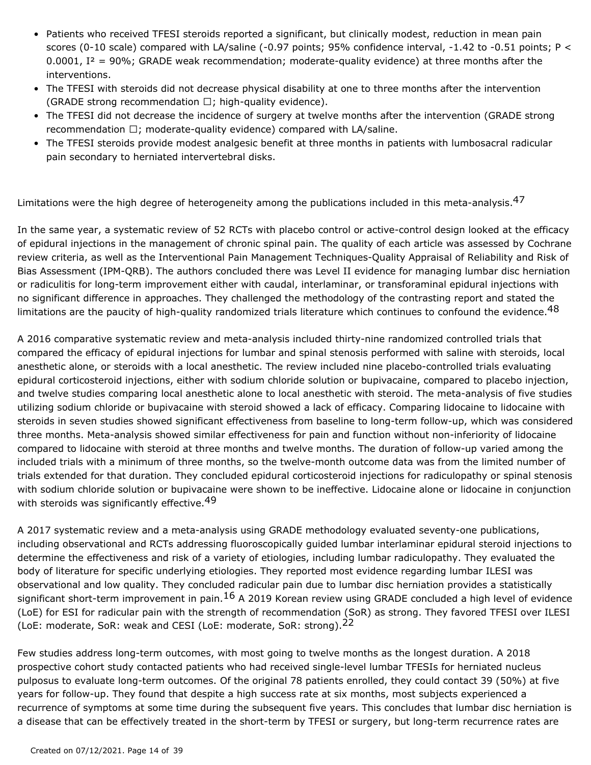- Patients who received TFESI steroids reported a significant, but clinically modest, reduction in mean pain scores (0-10 scale) compared with LA/saline (-0.97 points; 95% confidence interval, -1.42 to -0.51 points; P < 0.0001,  $I^2 = 90\%$ ; GRADE weak recommendation; moderate-quality evidence) at three months after the interventions.
- The TFESI with steroids did not decrease physical disability at one to three months after the intervention (GRADE strong recommendation  $\Box$ ; high-quality evidence).
- The TFESI did not decrease the incidence of surgery at twelve months after the intervention (GRADE strong recommendation  $\Box$ ; moderate-quality evidence) compared with LA/saline.
- The TFESI steroids provide modest analgesic benefit at three months in patients with lumbosacral radicular pain secondary to herniated intervertebral disks.

Limitations were the high degree of heterogeneity among the publications included in this meta-analysis.<sup>47</sup>

In the same year, a systematic review of 52 RCTs with placebo control or active-control design looked at the efficacy of epidural injections in the management of chronic spinal pain. The quality of each article was assessed by Cochrane review criteria, as well as the Interventional Pain Management Techniques-Quality Appraisal of Reliability and Risk of Bias Assessment (IPM-QRB). The authors concluded there was Level II evidence for managing lumbar disc herniation or radiculitis for long-term improvement either with caudal, interlaminar, or transforaminal epidural injections with no significant difference in approaches. They challenged the methodology of the contrasting report and stated the limitations are the paucity of high-quality randomized trials literature which continues to confound the evidence.<sup>48</sup>

A 2016 comparative systematic review and meta-analysis included thirty-nine randomized controlled trials that compared the efficacy of epidural injections for lumbar and spinal stenosis performed with saline with steroids, local anesthetic alone, or steroids with a local anesthetic. The review included nine placebo-controlled trials evaluating epidural corticosteroid injections, either with sodium chloride solution or bupivacaine, compared to placebo injection, and twelve studies comparing local anesthetic alone to local anesthetic with steroid. The meta-analysis of five studies utilizing sodium chloride or bupivacaine with steroid showed a lack of efficacy. Comparing lidocaine to lidocaine with steroids in seven studies showed significant effectiveness from baseline to long-term follow-up, which was considered three months. Meta-analysis showed similar effectiveness for pain and function without non-inferiority of lidocaine compared to lidocaine with steroid at three months and twelve months. The duration of follow-up varied among the included trials with a minimum of three months, so the twelve-month outcome data was from the limited number of trials extended for that duration. They concluded epidural corticosteroid injections for radiculopathy or spinal stenosis with sodium chloride solution or bupivacaine were shown to be ineffective. Lidocaine alone or lidocaine in conjunction with steroids was significantly effective.<sup>49</sup>

A 2017 systematic review and a meta-analysis using GRADE methodology evaluated seventy-one publications, including observational and RCTs addressing fluoroscopically guided lumbar interlaminar epidural steroid injections to determine the effectiveness and risk of a variety of etiologies, including lumbar radiculopathy. They evaluated the body of literature for specific underlying etiologies. They reported most evidence regarding lumbar ILESI was observational and low quality. They concluded radicular pain due to lumbar disc herniation provides a statistically significant short-term improvement in pain.<sup>16</sup> A 2019 Korean review using GRADE concluded a high level of evidence (LoE) for ESI for radicular pain with the strength of recommendation (SoR) as strong. They favored TFESI over ILESI (LoE: moderate, SoR: weak and CESI (LoE: moderate, SoR: strong).<sup>22</sup>

Few studies address long-term outcomes, with most going to twelve months as the longest duration. A 2018 prospective cohort study contacted patients who had received single-level lumbar TFESIs for herniated nucleus pulposus to evaluate long-term outcomes. Of the original 78 patients enrolled, they could contact 39 (50%) at five years for follow-up. They found that despite a high success rate at six months, most subjects experienced a recurrence of symptoms at some time during the subsequent five years. This concludes that lumbar disc herniation is a disease that can be effectively treated in the short-term by TFESI or surgery, but long-term recurrence rates are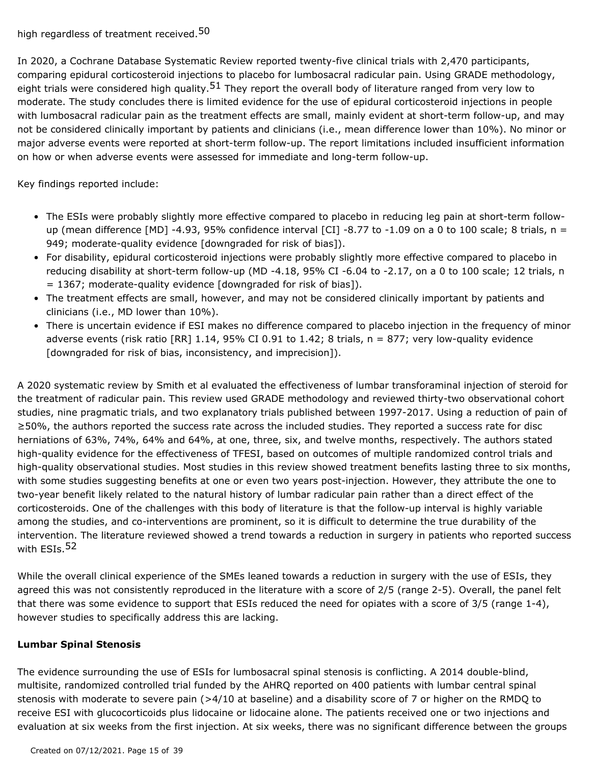In 2020, a Cochrane Database Systematic Review reported twenty-five clinical trials with 2,470 participants, comparing epidural corticosteroid injections to placebo for lumbosacral radicular pain. Using GRADE methodology, eight trials were considered high quality.<sup>51</sup> They report the overall body of literature ranged from very low to moderate. The study concludes there is limited evidence for the use of epidural corticosteroid injections in people with lumbosacral radicular pain as the treatment effects are small, mainly evident at short-term follow-up, and may not be considered clinically important by patients and clinicians (i.e., mean difference lower than 10%). No minor or major adverse events were reported at short-term follow-up. The report limitations included insufficient information on how or when adverse events were assessed for immediate and long-term follow-up.

Key findings reported include:

- The ESIs were probably slightly more effective compared to placebo in reducing leg pain at short-term followup (mean difference [MD] -4.93, 95% confidence interval [CI] -8.77 to -1.09 on a 0 to 100 scale; 8 trials,  $n =$ 949; moderate-quality evidence [downgraded for risk of bias]).
- For disability, epidural corticosteroid injections were probably slightly more effective compared to placebo in reducing disability at short-term follow-up (MD -4.18, 95% CI -6.04 to -2.17, on a 0 to 100 scale; 12 trials, n  $= 1367$ ; moderate-quality evidence [downgraded for risk of bias]).
- The treatment effects are small, however, and may not be considered clinically important by patients and clinicians (i.e., MD lower than 10%).
- There is uncertain evidence if ESI makes no difference compared to placebo injection in the frequency of minor adverse events (risk ratio [RR]  $1.14$ , 95% CI 0.91 to  $1.42$ ; 8 trials,  $n = 877$ ; very low-quality evidence [downgraded for risk of bias, inconsistency, and imprecision]).

A 2020 systematic review by Smith et al evaluated the effectiveness of lumbar transforaminal injection of steroid for the treatment of radicular pain. This review used GRADE methodology and reviewed thirty-two observational cohort studies, nine pragmatic trials, and two explanatory trials published between 1997-2017. Using a reduction of pain of ≥50%, the authors reported the success rate across the included studies. They reported a success rate for disc herniations of 63%, 74%, 64% and 64%, at one, three, six, and twelve months, respectively. The authors stated high-quality evidence for the effectiveness of TFESI, based on outcomes of multiple randomized control trials and high-quality observational studies. Most studies in this review showed treatment benefits lasting three to six months, with some studies suggesting benefits at one or even two years post-injection. However, they attribute the one to two-year benefit likely related to the natural history of lumbar radicular pain rather than a direct effect of the corticosteroids. One of the challenges with this body of literature is that the follow-up interval is highly variable among the studies, and co-interventions are prominent, so it is difficult to determine the true durability of the intervention. The literature reviewed showed a trend towards a reduction in surgery in patients who reported success with ESIs.<sup>52</sup>

While the overall clinical experience of the SMEs leaned towards a reduction in surgery with the use of ESIs, they agreed this was not consistently reproduced in the literature with a score of 2/5 (range 2-5). Overall, the panel felt that there was some evidence to support that ESIs reduced the need for opiates with a score of 3/5 (range 1-4), however studies to specifically address this are lacking.

### **Lumbar Spinal Stenosis**

The evidence surrounding the use of ESIs for lumbosacral spinal stenosis is conflicting. A 2014 double-blind, multisite, randomized controlled trial funded by the AHRQ reported on 400 patients with lumbar central spinal stenosis with moderate to severe pain (>4/10 at baseline) and a disability score of 7 or higher on the RMDQ to receive ESI with glucocorticoids plus lidocaine or lidocaine alone. The patients received one or two injections and evaluation at six weeks from the first injection. At six weeks, there was no significant difference between the groups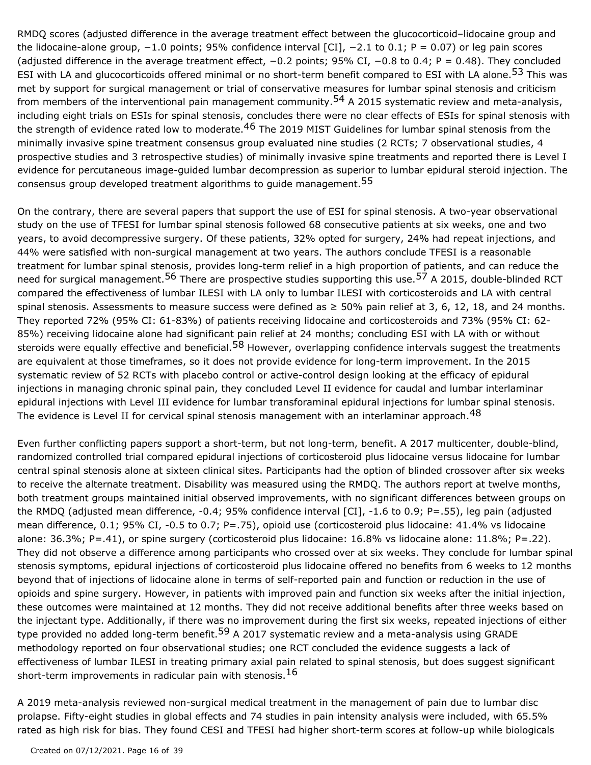RMDQ scores (adjusted difference in the average treatment effect between the glucocorticoid–lidocaine group and the lidocaine-alone group, −1.0 points; 95% confidence interval [CI], −2.1 to 0.1; P = 0.07) or leg pain scores (adjusted difference in the average treatment effect, −0.2 points; 95% CI, −0.8 to 0.4; P = 0.48). They concluded ESI with LA and glucocorticoids offered minimal or no short-term benefit compared to ESI with LA alone.<sup>53</sup> This was met by support for surgical management or trial of conservative measures for lumbar spinal stenosis and criticism from members of the interventional pain management community.<sup>54</sup> A 2015 systematic review and meta-analysis, including eight trials on ESIs for spinal stenosis, concludes there were no clear effects of ESIs for spinal stenosis with the strength of evidence rated low to moderate.<sup>46</sup> The 2019 MIST Guidelines for lumbar spinal stenosis from the minimally invasive spine treatment consensus group evaluated nine studies (2 RCTs; 7 observational studies, 4 prospective studies and 3 retrospective studies) of minimally invasive spine treatments and reported there is Level I evidence for percutaneous image-guided lumbar decompression as superior to lumbar epidural steroid injection. The consensus group developed treatment algorithms to guide management.<sup>55</sup>

On the contrary, there are several papers that support the use of ESI for spinal stenosis. A two-year observational study on the use of TFESI for lumbar spinal stenosis followed 68 consecutive patients at six weeks, one and two years, to avoid decompressive surgery. Of these patients, 32% opted for surgery, 24% had repeat injections, and 44% were satisfied with non-surgical management at two years. The authors conclude TFESI is a reasonable treatment for lumbar spinal stenosis, provides long-term relief in a high proportion of patients, and can reduce the need for surgical management.<sup>56</sup> There are prospective studies supporting this use.<sup>57</sup> A 2015, double-blinded RCT compared the effectiveness of lumbar ILESI with LA only to lumbar ILESI with corticosteroids and LA with central spinal stenosis. Assessments to measure success were defined as  $\geq$  50% pain relief at 3, 6, 12, 18, and 24 months. They reported 72% (95% CI: 61-83%) of patients receiving lidocaine and corticosteroids and 73% (95% CI: 62- 85%) receiving lidocaine alone had significant pain relief at 24 months; concluding ESI with LA with or without steroids were equally effective and beneficial.<sup>58</sup> However, overlapping confidence intervals suggest the treatments are equivalent at those timeframes, so it does not provide evidence for long-term improvement. In the 2015 systematic review of 52 RCTs with placebo control or active-control design looking at the efficacy of epidural injections in managing chronic spinal pain, they concluded Level II evidence for caudal and lumbar interlaminar epidural injections with Level III evidence for lumbar transforaminal epidural injections for lumbar spinal stenosis. The evidence is Level II for cervical spinal stenosis management with an interlaminar approach.<sup>48</sup>

Even further conflicting papers support a short-term, but not long-term, benefit. A 2017 multicenter, double-blind, randomized controlled trial compared epidural injections of corticosteroid plus lidocaine versus lidocaine for lumbar central spinal stenosis alone at sixteen clinical sites. Participants had the option of blinded crossover after six weeks to receive the alternate treatment. Disability was measured using the RMDQ. The authors report at twelve months, both treatment groups maintained initial observed improvements, with no significant differences between groups on the RMDQ (adjusted mean difference, -0.4; 95% confidence interval [CI], -1.6 to 0.9; P=.55), leg pain (adjusted mean difference, 0.1; 95% CI, -0.5 to 0.7; P=.75), opioid use (corticosteroid plus lidocaine: 41.4% vs lidocaine alone: 36.3%; P=.41), or spine surgery (corticosteroid plus lidocaine: 16.8% vs lidocaine alone: 11.8%; P=.22). They did not observe a difference among participants who crossed over at six weeks. They conclude for lumbar spinal stenosis symptoms, epidural injections of corticosteroid plus lidocaine offered no benefits from 6 weeks to 12 months beyond that of injections of lidocaine alone in terms of self-reported pain and function or reduction in the use of opioids and spine surgery. However, in patients with improved pain and function six weeks after the initial injection, these outcomes were maintained at 12 months. They did not receive additional benefits after three weeks based on the injectant type. Additionally, if there was no improvement during the first six weeks, repeated injections of either type provided no added long-term benefit.<sup>59</sup> A 2017 systematic review and a meta-analysis using GRADE methodology reported on four observational studies; one RCT concluded the evidence suggests a lack of effectiveness of lumbar ILESI in treating primary axial pain related to spinal stenosis, but does suggest significant short-term improvements in radicular pain with stenosis.  $16$ 

A 2019 meta-analysis reviewed non-surgical medical treatment in the management of pain due to lumbar disc prolapse. Fifty-eight studies in global effects and 74 studies in pain intensity analysis were included, with 65.5% rated as high risk for bias. They found CESI and TFESI had higher short-term scores at follow-up while biologicals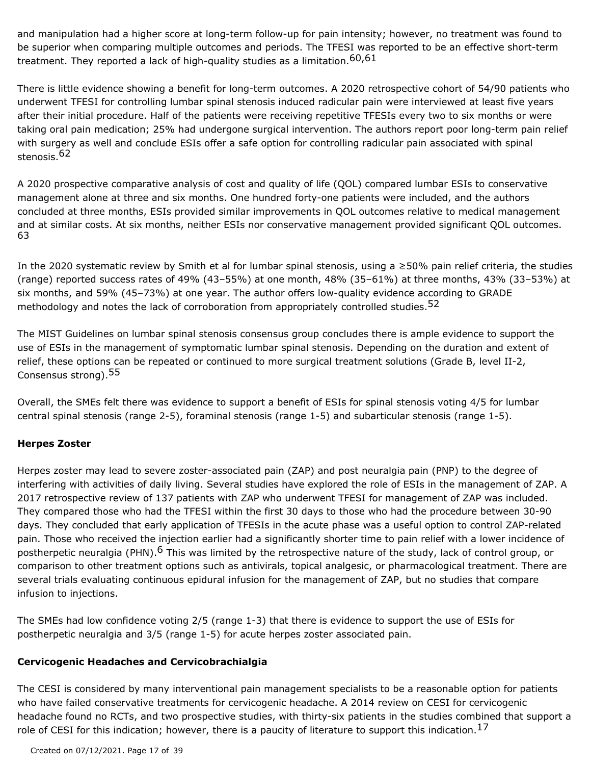and manipulation had a higher score at long-term follow-up for pain intensity; however, no treatment was found to be superior when comparing multiple outcomes and periods. The TFESI was reported to be an effective short-term treatment. They reported a lack of high-quality studies as a limitation.  $60,61$ 

There is little evidence showing a benefit for long-term outcomes. A 2020 retrospective cohort of 54/90 patients who underwent TFESI for controlling lumbar spinal stenosis induced radicular pain were interviewed at least five years after their initial procedure. Half of the patients were receiving repetitive TFESIs every two to six months or were taking oral pain medication; 25% had undergone surgical intervention. The authors report poor long-term pain relief with surgery as well and conclude ESIs offer a safe option for controlling radicular pain associated with spinal stenosis.62

A 2020 prospective comparative analysis of cost and quality of life (QOL) compared lumbar ESIs to conservative management alone at three and six months. One hundred forty-one patients were included, and the authors concluded at three months, ESIs provided similar improvements in QOL outcomes relative to medical management and at similar costs. At six months, neither ESIs nor conservative management provided significant QOL outcomes. 63

In the 2020 systematic review by Smith et al for lumbar spinal stenosis, using a ≥50% pain relief criteria, the studies (range) reported success rates of 49% (43–55%) at one month, 48% (35–61%) at three months, 43% (33–53%) at six months, and 59% (45–73%) at one year. The author offers low-quality evidence according to GRADE methodology and notes the lack of corroboration from appropriately controlled studies.  $52$ 

The MIST Guidelines on lumbar spinal stenosis consensus group concludes there is ample evidence to support the use of ESIs in the management of symptomatic lumbar spinal stenosis. Depending on the duration and extent of relief, these options can be repeated or continued to more surgical treatment solutions (Grade B, level II-2, Consensus strong).55

Overall, the SMEs felt there was evidence to support a benefit of ESIs for spinal stenosis voting 4/5 for lumbar central spinal stenosis (range 2-5), foraminal stenosis (range 1-5) and subarticular stenosis (range 1-5).

### **Herpes Zoster**

Herpes zoster may lead to severe zoster-associated pain (ZAP) and post neuralgia pain (PNP) to the degree of interfering with activities of daily living. Several studies have explored the role of ESIs in the management of ZAP. A 2017 retrospective review of 137 patients with ZAP who underwent TFESI for management of ZAP was included. They compared those who had the TFESI within the first 30 days to those who had the procedure between 30-90 days. They concluded that early application of TFESIs in the acute phase was a useful option to control ZAP-related pain. Those who received the injection earlier had a significantly shorter time to pain relief with a lower incidence of postherpetic neuralgia (PHN).<sup>6</sup> This was limited by the retrospective nature of the study, lack of control group, or comparison to other treatment options such as antivirals, topical analgesic, or pharmacological treatment. There are several trials evaluating continuous epidural infusion for the management of ZAP, but no studies that compare infusion to injections.

The SMEs had low confidence voting 2/5 (range 1-3) that there is evidence to support the use of ESIs for postherpetic neuralgia and 3/5 (range 1-5) for acute herpes zoster associated pain.

#### **Cervicogenic Headaches and Cervicobrachialgia**

The CESI is considered by many interventional pain management specialists to be a reasonable option for patients who have failed conservative treatments for cervicogenic headache. A 2014 review on CESI for cervicogenic headache found no RCTs, and two prospective studies, with thirty-six patients in the studies combined that support a role of CESI for this indication; however, there is a paucity of literature to support this indication.  $^{17}$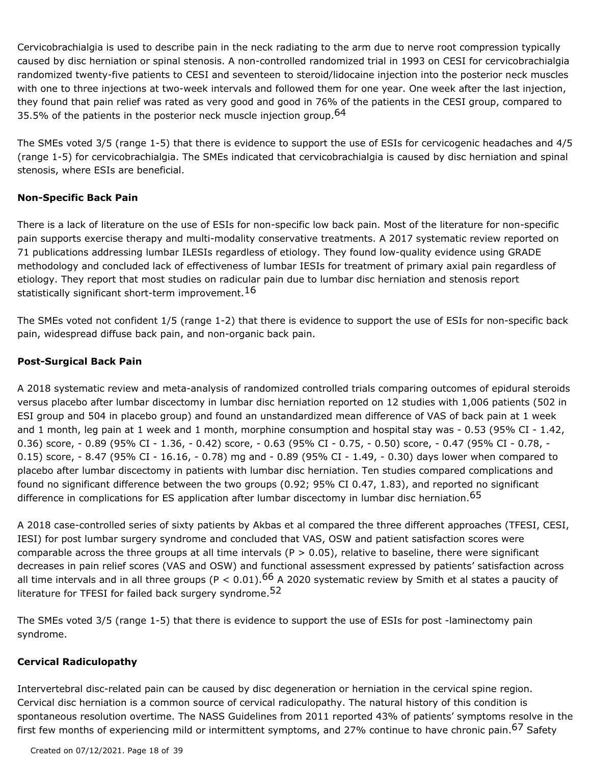Cervicobrachialgia is used to describe pain in the neck radiating to the arm due to nerve root compression typically caused by disc herniation or spinal stenosis. A non-controlled randomized trial in 1993 on CESI for cervicobrachialgia randomized twenty-five patients to CESI and seventeen to steroid/lidocaine injection into the posterior neck muscles with one to three injections at two-week intervals and followed them for one year. One week after the last injection, they found that pain relief was rated as very good and good in 76% of the patients in the CESI group, compared to 35.5% of the patients in the posterior neck muscle injection group.  $64$ 

The SMEs voted 3/5 (range 1-5) that there is evidence to support the use of ESIs for cervicogenic headaches and 4/5 (range 1-5) for cervicobrachialgia. The SMEs indicated that cervicobrachialgia is caused by disc herniation and spinal stenosis, where ESIs are beneficial.

### **Non-Specific Back Pain**

There is a lack of literature on the use of ESIs for non-specific low back pain. Most of the literature for non-specific pain supports exercise therapy and multi-modality conservative treatments. A 2017 systematic review reported on 71 publications addressing lumbar ILESIs regardless of etiology. They found low-quality evidence using GRADE methodology and concluded lack of effectiveness of lumbar IESIs for treatment of primary axial pain regardless of etiology. They report that most studies on radicular pain due to lumbar disc herniation and stenosis report statistically significant short-term improvement.  $^{16}$ 

The SMEs voted not confident 1/5 (range 1-2) that there is evidence to support the use of ESIs for non-specific back pain, widespread diffuse back pain, and non-organic back pain.

#### **Post-Surgical Back Pain**

A 2018 systematic review and meta-analysis of randomized controlled trials comparing outcomes of epidural steroids versus placebo after lumbar discectomy in lumbar disc herniation reported on 12 studies with 1,006 patients (502 in ESI group and 504 in placebo group) and found an unstandardized mean difference of VAS of back pain at 1 week and 1 month, leg pain at 1 week and 1 month, morphine consumption and hospital stay was - 0.53 (95% CI - 1.42, 0.36) score, - 0.89 (95% CI - 1.36, - 0.42) score, - 0.63 (95% CI - 0.75, - 0.50) score, - 0.47 (95% CI - 0.78, - 0.15) score, - 8.47 (95% CI - 16.16, - 0.78) mg and - 0.89 (95% CI - 1.49, - 0.30) days lower when compared to placebo after lumbar discectomy in patients with lumbar disc herniation. Ten studies compared complications and found no significant difference between the two groups (0.92; 95% CI 0.47, 1.83), and reported no significant difference in complications for ES application after lumbar discectomy in lumbar disc herniation. 65

A 2018 case-controlled series of sixty patients by Akbas et al compared the three different approaches (TFESI, CESI, IESI) for post lumbar surgery syndrome and concluded that VAS, OSW and patient satisfaction scores were comparable across the three groups at all time intervals ( $P > 0.05$ ), relative to baseline, there were significant decreases in pain relief scores (VAS and OSW) and functional assessment expressed by patients' satisfaction across all time intervals and in all three groups (P < 0.01).<sup>66</sup> A 2020 systematic review by Smith et al states a paucity of literature for TFESI for failed back surgery syndrome.<sup>52</sup>

The SMEs voted 3/5 (range 1-5) that there is evidence to support the use of ESIs for post -laminectomy pain syndrome.

#### **Cervical Radiculopathy**

Intervertebral disc-related pain can be caused by disc degeneration or herniation in the cervical spine region. Cervical disc herniation is a common source of cervical radiculopathy. The natural history of this condition is spontaneous resolution overtime. The NASS Guidelines from 2011 reported 43% of patients' symptoms resolve in the first few months of experiencing mild or intermittent symptoms, and 27% continue to have chronic pain.<sup>67</sup> Safety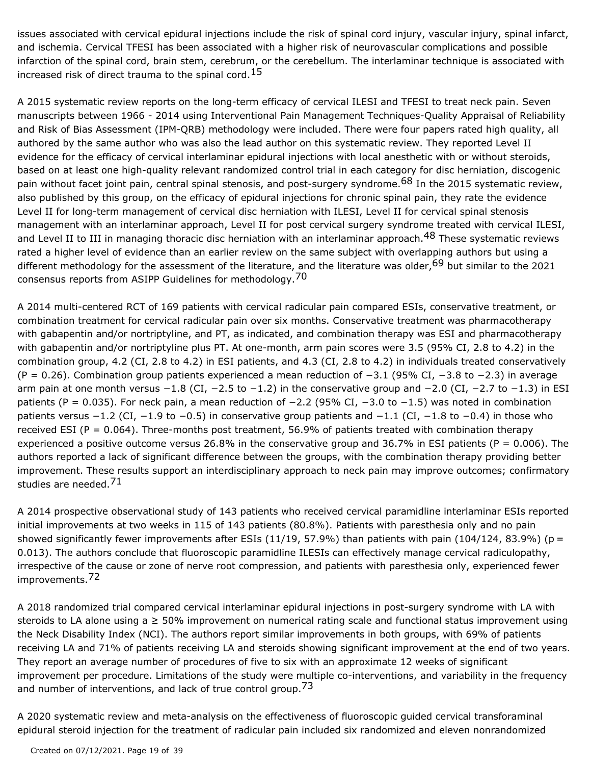issues associated with cervical epidural injections include the risk of spinal cord injury, vascular injury, spinal infarct, and ischemia. Cervical TFESI has been associated with a higher risk of neurovascular complications and possible infarction of the spinal cord, brain stem, cerebrum, or the cerebellum. The interlaminar technique is associated with increased risk of direct trauma to the spinal cord.<sup>15</sup>

A 2015 systematic review reports on the long-term efficacy of cervical ILESI and TFESI to treat neck pain. Seven manuscripts between 1966 - 2014 using Interventional Pain Management Techniques-Quality Appraisal of Reliability and Risk of Bias Assessment (IPM-QRB) methodology were included. There were four papers rated high quality, all authored by the same author who was also the lead author on this systematic review. They reported Level II evidence for the efficacy of cervical interlaminar epidural injections with local anesthetic with or without steroids, based on at least one high-quality relevant randomized control trial in each category for disc herniation, discogenic pain without facet joint pain, central spinal stenosis, and post-surgery syndrome.<sup>68</sup> In the 2015 systematic review, also published by this group, on the efficacy of epidural injections for chronic spinal pain, they rate the evidence Level II for long-term management of cervical disc herniation with ILESI, Level II for cervical spinal stenosis management with an interlaminar approach, Level II for post cervical surgery syndrome treated with cervical ILESI, and Level II to III in managing thoracic disc herniation with an interlaminar approach.<sup>48</sup> These systematic reviews rated a higher level of evidence than an earlier review on the same subject with overlapping authors but using a different methodology for the assessment of the literature, and the literature was older, <sup>69</sup> but similar to the 2021 consensus reports from ASIPP Guidelines for methodology.<sup>70</sup>

A 2014 multi-centered RCT of 169 patients with cervical radicular pain compared ESIs, conservative treatment, or combination treatment for cervical radicular pain over six months. Conservative treatment was pharmacotherapy with gabapentin and/or nortriptyline, and PT, as indicated, and combination therapy was ESI and pharmacotherapy with gabapentin and/or nortriptyline plus PT. At one-month, arm pain scores were 3.5 (95% CI, 2.8 to 4.2) in the combination group, 4.2 (CI, 2.8 to 4.2) in ESI patients, and 4.3 (CI, 2.8 to 4.2) in individuals treated conservatively (P = 0.26). Combination group patients experienced a mean reduction of −3.1 (95% CI, −3.8 to −2.3) in average arm pain at one month versus −1.8 (CI, −2.5 to −1.2) in the conservative group and −2.0 (CI, −2.7 to −1.3) in ESI patients (P = 0.035). For neck pain, a mean reduction of -2.2 (95% CI, -3.0 to -1.5) was noted in combination patients versus −1.2 (CI, −1.9 to −0.5) in conservative group patients and −1.1 (CI, −1.8 to −0.4) in those who received ESI (P = 0.064). Three-months post treatment, 56.9% of patients treated with combination therapy experienced a positive outcome versus 26.8% in the conservative group and 36.7% in ESI patients ( $P = 0.006$ ). The authors reported a lack of significant difference between the groups, with the combination therapy providing better improvement. These results support an interdisciplinary approach to neck pain may improve outcomes; confirmatory studies are needed.<sup>71</sup>

A 2014 prospective observational study of 143 patients who received cervical paramidline interlaminar ESIs reported initial improvements at two weeks in 115 of 143 patients (80.8%). Patients with paresthesia only and no pain showed significantly fewer improvements after ESIs  $(11/19, 57.9%)$  than patients with pain  $(104/124, 83.9%)$  (p = 0.013). The authors conclude that fluoroscopic paramidline ILESIs can effectively manage cervical radiculopathy, irrespective of the cause or zone of nerve root compression, and patients with paresthesia only, experienced fewer improvements.<sup>72</sup>

A 2018 randomized trial compared cervical interlaminar epidural injections in post-surgery syndrome with LA with steroids to LA alone using a ≥ 50% improvement on numerical rating scale and functional status improvement using the Neck Disability Index (NCI). The authors report similar improvements in both groups, with 69% of patients receiving LA and 71% of patients receiving LA and steroids showing significant improvement at the end of two years. They report an average number of procedures of five to six with an approximate 12 weeks of significant improvement per procedure. Limitations of the study were multiple co-interventions, and variability in the frequency and number of interventions, and lack of true control group.<sup>73</sup>

A 2020 systematic review and meta-analysis on the effectiveness of fluoroscopic guided cervical transforaminal epidural steroid injection for the treatment of radicular pain included six randomized and eleven nonrandomized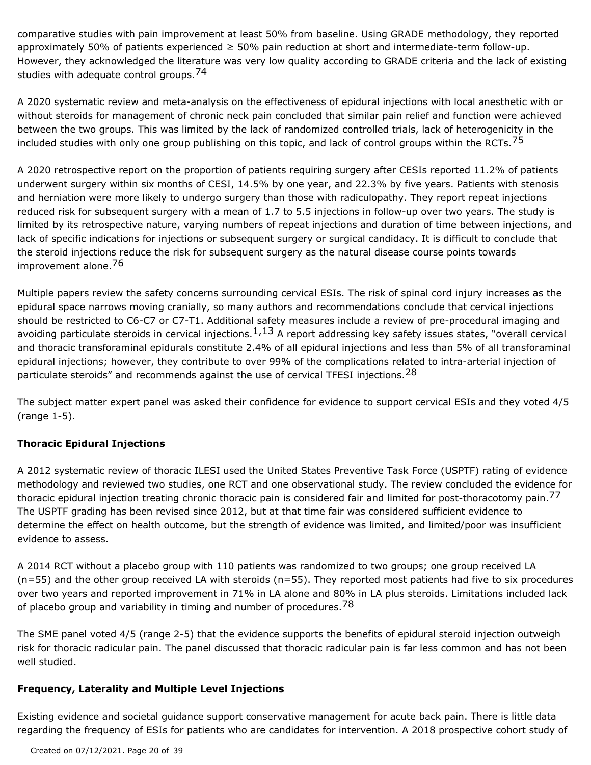comparative studies with pain improvement at least 50% from baseline. Using GRADE methodology, they reported approximately 50% of patients experienced ≥ 50% pain reduction at short and intermediate-term follow-up. However, they acknowledged the literature was very low quality according to GRADE criteria and the lack of existing studies with adequate control groups.<sup>74</sup>

A 2020 systematic review and meta-analysis on the effectiveness of epidural injections with local anesthetic with or without steroids for management of chronic neck pain concluded that similar pain relief and function were achieved between the two groups. This was limited by the lack of randomized controlled trials, lack of heterogenicity in the included studies with only one group publishing on this topic, and lack of control groups within the RCTs.<sup>75</sup>

A 2020 retrospective report on the proportion of patients requiring surgery after CESIs reported 11.2% of patients underwent surgery within six months of CESI, 14.5% by one year, and 22.3% by five years. Patients with stenosis and herniation were more likely to undergo surgery than those with radiculopathy. They report repeat injections reduced risk for subsequent surgery with a mean of 1.7 to 5.5 injections in follow-up over two years. The study is limited by its retrospective nature, varying numbers of repeat injections and duration of time between injections, and lack of specific indications for injections or subsequent surgery or surgical candidacy. It is difficult to conclude that the steroid injections reduce the risk for subsequent surgery as the natural disease course points towards improvement alone.<sup>76</sup>

Multiple papers review the safety concerns surrounding cervical ESIs. The risk of spinal cord injury increases as the epidural space narrows moving cranially, so many authors and recommendations conclude that cervical injections should be restricted to C6-C7 or C7-T1. Additional safety measures include a review of pre-procedural imaging and avoiding particulate steroids in cervical injections. $1,13$  A report addressing key safety issues states, "overall cervical and thoracic transforaminal epidurals constitute 2.4% of all epidural injections and less than 5% of all transforaminal epidural injections; however, they contribute to over 99% of the complications related to intra-arterial injection of particulate steroids" and recommends against the use of cervical TFESI injections.<sup>28</sup>

The subject matter expert panel was asked their confidence for evidence to support cervical ESIs and they voted 4/5 (range 1-5).

### **Thoracic Epidural Injections**

A 2012 systematic review of thoracic ILESI used the United States Preventive Task Force (USPTF) rating of evidence methodology and reviewed two studies, one RCT and one observational study. The review concluded the evidence for thoracic epidural injection treating chronic thoracic pain is considered fair and limited for post-thoracotomy pain.<sup>77</sup> The USPTF grading has been revised since 2012, but at that time fair was considered sufficient evidence to determine the effect on health outcome, but the strength of evidence was limited, and limited/poor was insufficient evidence to assess.

A 2014 RCT without a placebo group with 110 patients was randomized to two groups; one group received LA (n=55) and the other group received LA with steroids (n=55). They reported most patients had five to six procedures over two years and reported improvement in 71% in LA alone and 80% in LA plus steroids. Limitations included lack of placebo group and variability in timing and number of procedures.<sup>78</sup>

The SME panel voted 4/5 (range 2-5) that the evidence supports the benefits of epidural steroid injection outweigh risk for thoracic radicular pain. The panel discussed that thoracic radicular pain is far less common and has not been well studied.

### **Frequency, Laterality and Multiple Level Injections**

Existing evidence and societal guidance support conservative management for acute back pain. There is little data regarding the frequency of ESIs for patients who are candidates for intervention. A 2018 prospective cohort study of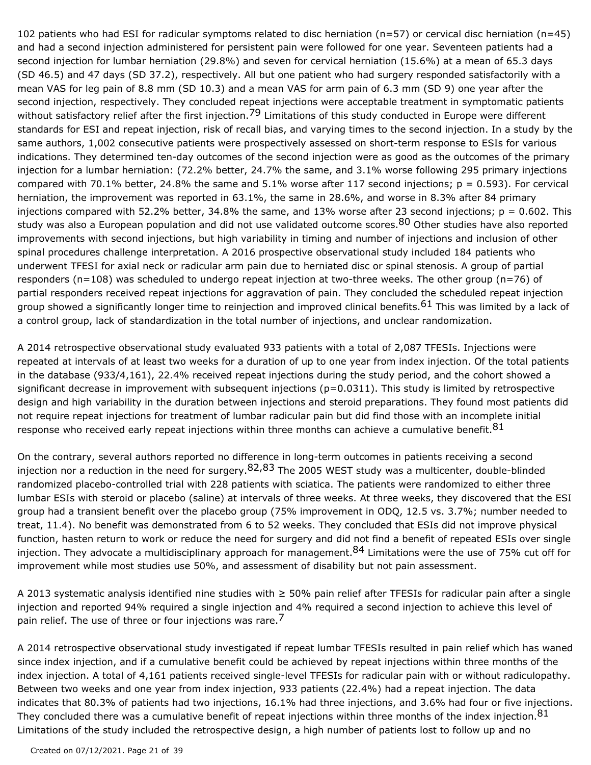102 patients who had ESI for radicular symptoms related to disc herniation (n=57) or cervical disc herniation (n=45) and had a second injection administered for persistent pain were followed for one year. Seventeen patients had a second injection for lumbar herniation (29.8%) and seven for cervical herniation (15.6%) at a mean of 65.3 days (SD 46.5) and 47 days (SD 37.2), respectively. All but one patient who had surgery responded satisfactorily with a mean VAS for leg pain of 8.8 mm (SD 10.3) and a mean VAS for arm pain of 6.3 mm (SD 9) one year after the second injection, respectively. They concluded repeat injections were acceptable treatment in symptomatic patients without satisfactory relief after the first injection.<sup>79</sup> Limitations of this study conducted in Europe were different standards for ESI and repeat injection, risk of recall bias, and varying times to the second injection. In a study by the same authors, 1,002 consecutive patients were prospectively assessed on short-term response to ESIs for various indications. They determined ten-day outcomes of the second injection were as good as the outcomes of the primary injection for a lumbar herniation: (72.2% better, 24.7% the same, and 3.1% worse following 295 primary injections compared with 70.1% better, 24.8% the same and 5.1% worse after 117 second injections;  $p = 0.593$ ). For cervical herniation, the improvement was reported in 63.1%, the same in 28.6%, and worse in 8.3% after 84 primary injections compared with 52.2% better, 34.8% the same, and 13% worse after 23 second injections;  $p = 0.602$ . This study was also a European population and did not use validated outcome scores.<sup>80</sup> Other studies have also reported improvements with second injections, but high variability in timing and number of injections and inclusion of other spinal procedures challenge interpretation. A 2016 prospective observational study included 184 patients who underwent TFESI for axial neck or radicular arm pain due to herniated disc or spinal stenosis. A group of partial responders (n=108) was scheduled to undergo repeat injection at two-three weeks. The other group (n=76) of partial responders received repeat injections for aggravation of pain. They concluded the scheduled repeat injection group showed a significantly longer time to reinjection and improved clinical benefits.<sup>61</sup> This was limited by a lack of a control group, lack of standardization in the total number of injections, and unclear randomization.

A 2014 retrospective observational study evaluated 933 patients with a total of 2,087 TFESIs. Injections were repeated at intervals of at least two weeks for a duration of up to one year from index injection. Of the total patients in the database (933/4,161), 22.4% received repeat injections during the study period, and the cohort showed a significant decrease in improvement with subsequent injections (p=0.0311). This study is limited by retrospective design and high variability in the duration between injections and steroid preparations. They found most patients did not require repeat injections for treatment of lumbar radicular pain but did find those with an incomplete initial response who received early repeat injections within three months can achieve a cumulative benefit.  $81$ 

On the contrary, several authors reported no difference in long-term outcomes in patients receiving a second injection nor a reduction in the need for surgery.<sup>82,83</sup> The 2005 WEST study was a multicenter, double-blinded randomized placebo-controlled trial with 228 patients with sciatica. The patients were randomized to either three lumbar ESIs with steroid or placebo (saline) at intervals of three weeks. At three weeks, they discovered that the ESI group had a transient benefit over the placebo group (75% improvement in ODQ, 12.5 vs. 3.7%; number needed to treat, 11.4). No benefit was demonstrated from 6 to 52 weeks. They concluded that ESIs did not improve physical function, hasten return to work or reduce the need for surgery and did not find a benefit of repeated ESIs over single injection. They advocate a multidisciplinary approach for management.<sup>84</sup> Limitations were the use of 75% cut off for improvement while most studies use 50%, and assessment of disability but not pain assessment.

A 2013 systematic analysis identified nine studies with ≥ 50% pain relief after TFESIs for radicular pain after a single injection and reported 94% required a single injection and 4% required a second injection to achieve this level of pain relief. The use of three or four injections was rare.

A 2014 retrospective observational study investigated if repeat lumbar TFESIs resulted in pain relief which has waned since index injection, and if a cumulative benefit could be achieved by repeat injections within three months of the index injection. A total of 4,161 patients received single-level TFESIs for radicular pain with or without radiculopathy. Between two weeks and one year from index injection, 933 patients (22.4%) had a repeat injection. The data indicates that 80.3% of patients had two injections, 16.1% had three injections, and 3.6% had four or five injections. They concluded there was a cumulative benefit of repeat injections within three months of the index injection.  $81$ Limitations of the study included the retrospective design, a high number of patients lost to follow up and no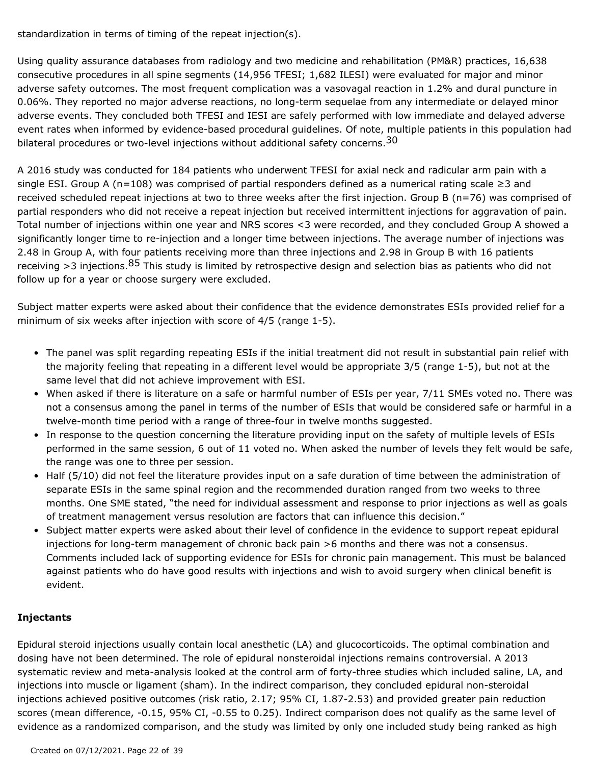standardization in terms of timing of the repeat injection(s).

Using quality assurance databases from radiology and two medicine and rehabilitation (PM&R) practices, 16,638 consecutive procedures in all spine segments (14,956 TFESI; 1,682 ILESI) were evaluated for major and minor adverse safety outcomes. The most frequent complication was a vasovagal reaction in 1.2% and dural puncture in 0.06%. They reported no major adverse reactions, no long-term sequelae from any intermediate or delayed minor adverse events. They concluded both TFESI and IESI are safely performed with low immediate and delayed adverse event rates when informed by evidence-based procedural guidelines. Of note, multiple patients in this population had bilateral procedures or two-level injections without additional safety concerns.<sup>30</sup>

A 2016 study was conducted for 184 patients who underwent TFESI for axial neck and radicular arm pain with a single ESI. Group A (n=108) was comprised of partial responders defined as a numerical rating scale  $\geq 3$  and received scheduled repeat injections at two to three weeks after the first injection. Group B (n=76) was comprised of partial responders who did not receive a repeat injection but received intermittent injections for aggravation of pain. Total number of injections within one year and NRS scores <3 were recorded, and they concluded Group A showed a significantly longer time to re-injection and a longer time between injections. The average number of injections was 2.48 in Group A, with four patients receiving more than three injections and 2.98 in Group B with 16 patients receiving >3 injections.<sup>85</sup> This study is limited by retrospective design and selection bias as patients who did not follow up for a year or choose surgery were excluded.

Subject matter experts were asked about their confidence that the evidence demonstrates ESIs provided relief for a minimum of six weeks after injection with score of 4/5 (range 1-5).

- The panel was split regarding repeating ESIs if the initial treatment did not result in substantial pain relief with the majority feeling that repeating in a different level would be appropriate 3/5 (range 1-5), but not at the same level that did not achieve improvement with ESI.
- When asked if there is literature on a safe or harmful number of ESIs per year, 7/11 SMEs voted no. There was not a consensus among the panel in terms of the number of ESIs that would be considered safe or harmful in a twelve-month time period with a range of three-four in twelve months suggested.
- In response to the question concerning the literature providing input on the safety of multiple levels of ESIs performed in the same session, 6 out of 11 voted no. When asked the number of levels they felt would be safe, the range was one to three per session.
- Half (5/10) did not feel the literature provides input on a safe duration of time between the administration of separate ESIs in the same spinal region and the recommended duration ranged from two weeks to three months. One SME stated, "the need for individual assessment and response to prior injections as well as goals of treatment management versus resolution are factors that can influence this decision."
- Subject matter experts were asked about their level of confidence in the evidence to support repeat epidural injections for long-term management of chronic back pain >6 months and there was not a consensus. Comments included lack of supporting evidence for ESIs for chronic pain management. This must be balanced against patients who do have good results with injections and wish to avoid surgery when clinical benefit is evident.

### **Injectants**

Epidural steroid injections usually contain local anesthetic (LA) and glucocorticoids. The optimal combination and dosing have not been determined. The role of epidural nonsteroidal injections remains controversial. A 2013 systematic review and meta-analysis looked at the control arm of forty-three studies which included saline, LA, and injections into muscle or ligament (sham). In the indirect comparison, they concluded epidural non-steroidal injections achieved positive outcomes (risk ratio, 2.17; 95% CI, 1.87-2.53) and provided greater pain reduction scores (mean difference, -0.15, 95% CI, -0.55 to 0.25). Indirect comparison does not qualify as the same level of evidence as a randomized comparison, and the study was limited by only one included study being ranked as high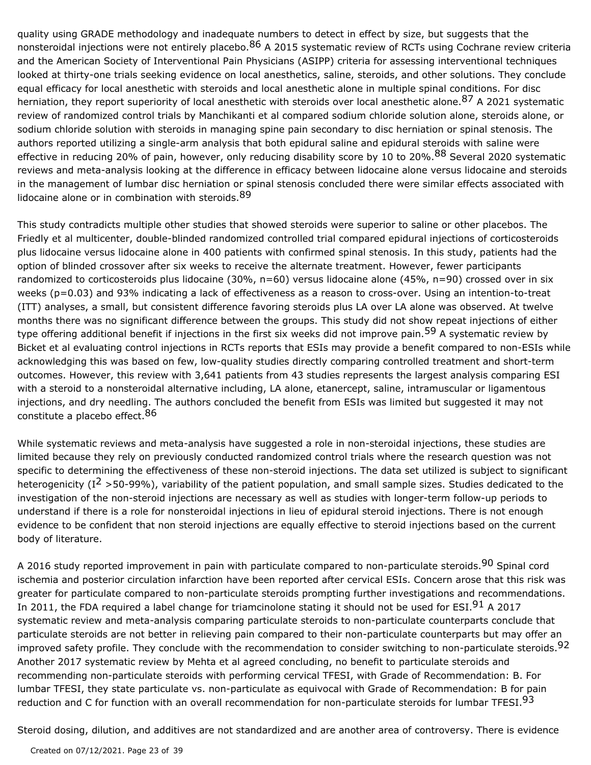quality using GRADE methodology and inadequate numbers to detect in effect by size, but suggests that the nonsteroidal injections were not entirely placebo.<sup>86</sup> A 2015 systematic review of RCTs using Cochrane review criteria and the American Society of Interventional Pain Physicians (ASIPP) criteria for assessing interventional techniques looked at thirty-one trials seeking evidence on local anesthetics, saline, steroids, and other solutions. They conclude equal efficacy for local anesthetic with steroids and local anesthetic alone in multiple spinal conditions. For disc herniation, they report superiority of local anesthetic with steroids over local anesthetic alone.<sup>87</sup> A 2021 systematic review of randomized control trials by Manchikanti et al compared sodium chloride solution alone, steroids alone, or sodium chloride solution with steroids in managing spine pain secondary to disc herniation or spinal stenosis. The authors reported utilizing a single-arm analysis that both epidural saline and epidural steroids with saline were effective in reducing 20% of pain, however, only reducing disability score by 10 to 20%.<sup>88</sup> Several 2020 systematic reviews and meta-analysis looking at the difference in efficacy between lidocaine alone versus lidocaine and steroids in the management of lumbar disc herniation or spinal stenosis concluded there were similar effects associated with lidocaine alone or in combination with steroids. <sup>89</sup>

This study contradicts multiple other studies that showed steroids were superior to saline or other placebos. The Friedly et al multicenter, double-blinded randomized controlled trial compared epidural injections of corticosteroids plus lidocaine versus lidocaine alone in 400 patients with confirmed spinal stenosis. In this study, patients had the option of blinded crossover after six weeks to receive the alternate treatment. However, fewer participants randomized to corticosteroids plus lidocaine (30%, n=60) versus lidocaine alone (45%, n=90) crossed over in six weeks (p=0.03) and 93% indicating a lack of effectiveness as a reason to cross-over. Using an intention-to-treat (ITT) analyses, a small, but consistent difference favoring steroids plus LA over LA alone was observed. At twelve months there was no significant difference between the groups. This study did not show repeat injections of either type offering additional benefit if injections in the first six weeks did not improve pain.<sup>59</sup> A systematic review by Bicket et al evaluating control injections in RCTs reports that ESIs may provide a benefit compared to non-ESIs while acknowledging this was based on few, low-quality studies directly comparing controlled treatment and short-term outcomes. However, this review with 3,641 patients from 43 studies represents the largest analysis comparing ESI with a steroid to a nonsteroidal alternative including, LA alone, etanercept, saline, intramuscular or ligamentous injections, and dry needling. The authors concluded the benefit from ESIs was limited but suggested it may not constitute a placebo effect. 86

While systematic reviews and meta-analysis have suggested a role in non-steroidal injections, these studies are limited because they rely on previously conducted randomized control trials where the research question was not specific to determining the effectiveness of these non-steroid injections. The data set utilized is subject to significant heterogenicity (I<sup>2</sup> >50-99%), variability of the patient population, and small sample sizes. Studies dedicated to the investigation of the non-steroid injections are necessary as well as studies with longer-term follow-up periods to understand if there is a role for nonsteroidal injections in lieu of epidural steroid injections. There is not enough evidence to be confident that non steroid injections are equally effective to steroid injections based on the current body of literature.

A 2016 study reported improvement in pain with particulate compared to non-particulate steroids.<sup>90</sup> Spinal cord ischemia and posterior circulation infarction have been reported after cervical ESIs. Concern arose that this risk was greater for particulate compared to non-particulate steroids prompting further investigations and recommendations. In 2011, the FDA required a label change for triamcinolone stating it should not be used for ESI.<sup>91</sup> A 2017 systematic review and meta-analysis comparing particulate steroids to non-particulate counterparts conclude that particulate steroids are not better in relieving pain compared to their non-particulate counterparts but may offer an improved safety profile. They conclude with the recommendation to consider switching to non-particulate steroids.<sup>92</sup> Another 2017 systematic review by Mehta et al agreed concluding, no benefit to particulate steroids and recommending non-particulate steroids with performing cervical TFESI, with Grade of Recommendation: B. For lumbar TFESI, they state particulate vs. non-particulate as equivocal with Grade of Recommendation: B for pain reduction and C for function with an overall recommendation for non-particulate steroids for lumbar TFESI.<sup>93</sup>

Steroid dosing, dilution, and additives are not standardized and are another area of controversy. There is evidence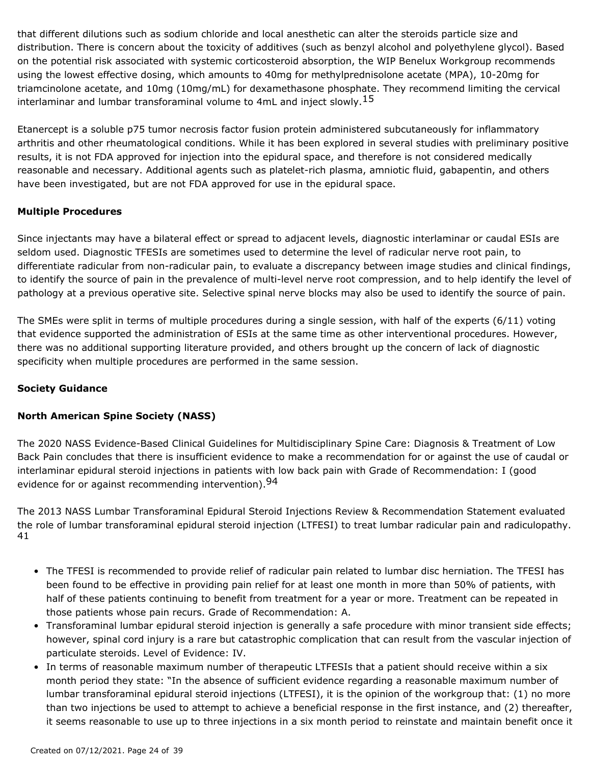that different dilutions such as sodium chloride and local anesthetic can alter the steroids particle size and distribution. There is concern about the toxicity of additives (such as benzyl alcohol and polyethylene glycol). Based on the potential risk associated with systemic corticosteroid absorption, the WIP Benelux Workgroup recommends using the lowest effective dosing, which amounts to 40mg for methylprednisolone acetate (MPA), 10-20mg for triamcinolone acetate, and 10mg (10mg/mL) for dexamethasone phosphate. They recommend limiting the cervical interlaminar and lumbar transforaminal volume to 4mL and inject slowly.<sup>15</sup>

Etanercept is a soluble p75 tumor necrosis factor fusion protein administered subcutaneously for inflammatory arthritis and other rheumatological conditions. While it has been explored in several studies with preliminary positive results, it is not FDA approved for injection into the epidural space, and therefore is not considered medically reasonable and necessary. Additional agents such as platelet-rich plasma, amniotic fluid, gabapentin, and others have been investigated, but are not FDA approved for use in the epidural space.

#### **Multiple Procedures**

Since injectants may have a bilateral effect or spread to adjacent levels, diagnostic interlaminar or caudal ESIs are seldom used. Diagnostic TFESIs are sometimes used to determine the level of radicular nerve root pain, to differentiate radicular from non-radicular pain, to evaluate a discrepancy between image studies and clinical findings, to identify the source of pain in the prevalence of multi-level nerve root compression, and to help identify the level of pathology at a previous operative site. Selective spinal nerve blocks may also be used to identify the source of pain.

The SMEs were split in terms of multiple procedures during a single session, with half of the experts (6/11) voting that evidence supported the administration of ESIs at the same time as other interventional procedures. However, there was no additional supporting literature provided, and others brought up the concern of lack of diagnostic specificity when multiple procedures are performed in the same session.

### **Society Guidance**

### **North American Spine Society (NASS)**

The 2020 NASS Evidence-Based Clinical Guidelines for Multidisciplinary Spine Care: Diagnosis & Treatment of Low Back Pain concludes that there is insufficient evidence to make a recommendation for or against the use of caudal or interlaminar epidural steroid injections in patients with low back pain with Grade of Recommendation: I (good evidence for or against recommending intervention).<sup>94</sup>

The 2013 NASS Lumbar Transforaminal Epidural Steroid Injections Review & Recommendation Statement evaluated the role of lumbar transforaminal epidural steroid injection (LTFESI) to treat lumbar radicular pain and radiculopathy. 41

- The TFESI is recommended to provide relief of radicular pain related to lumbar disc herniation. The TFESI has been found to be effective in providing pain relief for at least one month in more than 50% of patients, with half of these patients continuing to benefit from treatment for a year or more. Treatment can be repeated in those patients whose pain recurs. Grade of Recommendation: A.
- Transforaminal lumbar epidural steroid injection is generally a safe procedure with minor transient side effects; however, spinal cord injury is a rare but catastrophic complication that can result from the vascular injection of particulate steroids. Level of Evidence: IV.
- In terms of reasonable maximum number of therapeutic LTFESIs that a patient should receive within a six month period they state: "In the absence of sufficient evidence regarding a reasonable maximum number of lumbar transforaminal epidural steroid injections (LTFESI), it is the opinion of the workgroup that: (1) no more than two injections be used to attempt to achieve a beneficial response in the first instance, and (2) thereafter, it seems reasonable to use up to three injections in a six month period to reinstate and maintain benefit once it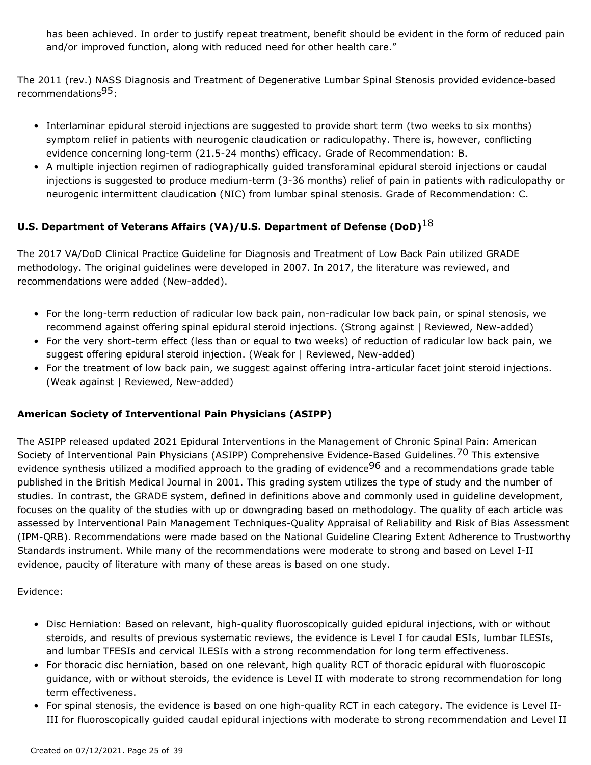has been achieved. In order to justify repeat treatment, benefit should be evident in the form of reduced pain and/or improved function, along with reduced need for other health care."

The 2011 (rev.) NASS Diagnosis and Treatment of Degenerative Lumbar Spinal Stenosis provided evidence-based recommendations<sup>95</sup>:

- Interlaminar epidural steroid injections are suggested to provide short term (two weeks to six months) symptom relief in patients with neurogenic claudication or radiculopathy. There is, however, conflicting evidence concerning long-term (21.5-24 months) efficacy. Grade of Recommendation: B.
- A multiple injection regimen of radiographically guided transforaminal epidural steroid injections or caudal injections is suggested to produce medium-term (3-36 months) relief of pain in patients with radiculopathy or neurogenic intermittent claudication (NIC) from lumbar spinal stenosis. Grade of Recommendation: C.

### **U.S. Department of Veterans Affairs (VA)/U.S. Department of Defense (DoD)**18

The 2017 VA/DoD Clinical Practice Guideline for Diagnosis and Treatment of Low Back Pain utilized GRADE methodology. The original guidelines were developed in 2007. In 2017, the literature was reviewed, and recommendations were added (New-added).

- For the long-term reduction of radicular low back pain, non-radicular low back pain, or spinal stenosis, we recommend against offering spinal epidural steroid injections. (Strong against | Reviewed, New-added)
- For the very short-term effect (less than or equal to two weeks) of reduction of radicular low back pain, we suggest offering epidural steroid injection. (Weak for | Reviewed, New-added)
- For the treatment of low back pain, we suggest against offering intra-articular facet joint steroid injections. (Weak against | Reviewed, New-added)

#### **American Society of Interventional Pain Physicians (ASIPP)**

The ASIPP released updated 2021 Epidural Interventions in the Management of Chronic Spinal Pain: American Society of Interventional Pain Physicians (ASIPP) Comprehensive Evidence-Based Guidelines.<sup>70</sup> This extensive evidence synthesis utilized a modified approach to the grading of evidence<sup>96</sup> and a recommendations grade table published in the British Medical Journal in 2001. This grading system utilizes the type of study and the number of studies. In contrast, the GRADE system, defined in definitions above and commonly used in guideline development, focuses on the quality of the studies with up or downgrading based on methodology. The quality of each article was assessed by Interventional Pain Management Techniques-Quality Appraisal of Reliability and Risk of Bias Assessment (IPM-QRB). Recommendations were made based on the National Guideline Clearing Extent Adherence to Trustworthy Standards instrument. While many of the recommendations were moderate to strong and based on Level I-II evidence, paucity of literature with many of these areas is based on one study.

Evidence:

- Disc Herniation: Based on relevant, high-quality fluoroscopically guided epidural injections, with or without steroids, and results of previous systematic reviews, the evidence is Level I for caudal ESIs, lumbar ILESIs, and lumbar TFESIs and cervical ILESIs with a strong recommendation for long term effectiveness.
- For thoracic disc herniation, based on one relevant, high quality RCT of thoracic epidural with fluoroscopic guidance, with or without steroids, the evidence is Level II with moderate to strong recommendation for long term effectiveness.
- For spinal stenosis, the evidence is based on one high-quality RCT in each category. The evidence is Level II-• III for fluoroscopically guided caudal epidural injections with moderate to strong recommendation and Level II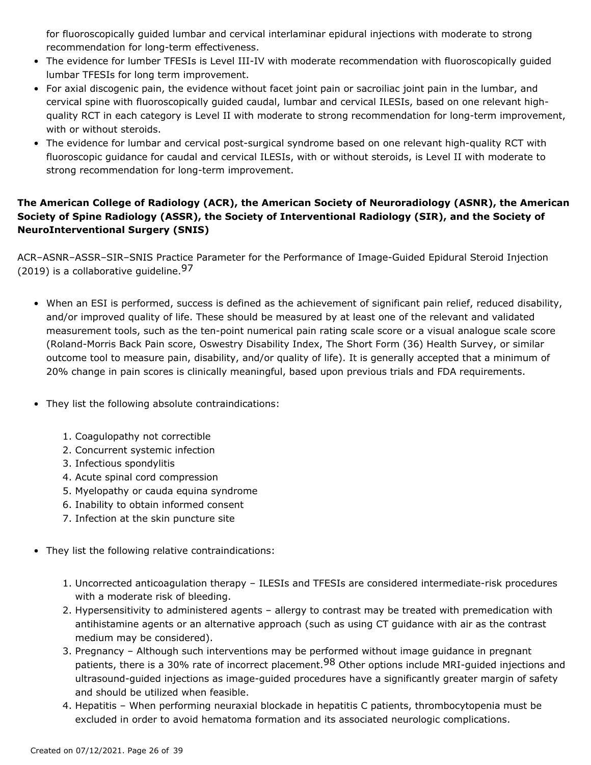for fluoroscopically guided lumbar and cervical interlaminar epidural injections with moderate to strong recommendation for long-term effectiveness.

- The evidence for lumber TFESIs is Level III-IV with moderate recommendation with fluoroscopically guided lumbar TFESIs for long term improvement.
- For axial discogenic pain, the evidence without facet joint pain or sacroiliac joint pain in the lumbar, and cervical spine with fluoroscopically guided caudal, lumbar and cervical ILESIs, based on one relevant highquality RCT in each category is Level II with moderate to strong recommendation for long-term improvement, with or without steroids.
- The evidence for lumbar and cervical post-surgical syndrome based on one relevant high-quality RCT with fluoroscopic guidance for caudal and cervical ILESIs, with or without steroids, is Level II with moderate to strong recommendation for long-term improvement.

# **The American College of Radiology (ACR), the American Society of Neuroradiology (ASNR), the American Society of Spine Radiology (ASSR), the Society of Interventional Radiology (SIR), and the Society of NeuroInterventional Surgery (SNIS)**

ACR–ASNR–ASSR–SIR–SNIS Practice Parameter for the Performance of Image-Guided Epidural Steroid Injection (2019) is a collaborative quideline.  $97$ 

- When an ESI is performed, success is defined as the achievement of significant pain relief, reduced disability, and/or improved quality of life. These should be measured by at least one of the relevant and validated measurement tools, such as the ten-point numerical pain rating scale score or a visual analogue scale score (Roland-Morris Back Pain score, Oswestry Disability Index, The Short Form (36) Health Survey, or similar outcome tool to measure pain, disability, and/or quality of life). It is generally accepted that a minimum of 20% change in pain scores is clinically meaningful, based upon previous trials and FDA requirements.
- They list the following absolute contraindications:
	- 1. Coagulopathy not correctible
	- 2. Concurrent systemic infection
	- 3. Infectious spondylitis
	- 4. Acute spinal cord compression
	- 5. Myelopathy or cauda equina syndrome
	- 6. Inability to obtain informed consent
	- 7. Infection at the skin puncture site
- They list the following relative contraindications:
	- 1. Uncorrected anticoagulation therapy ILESIs and TFESIs are considered intermediate-risk procedures with a moderate risk of bleeding.
	- 2. Hypersensitivity to administered agents allergy to contrast may be treated with premedication with antihistamine agents or an alternative approach (such as using CT guidance with air as the contrast medium may be considered).
	- 3. Pregnancy Although such interventions may be performed without image guidance in pregnant patients, there is a 30% rate of incorrect placement.<sup>98</sup> Other options include MRI-guided injections and ultrasound-guided injections as image-guided procedures have a significantly greater margin of safety and should be utilized when feasible.
	- 4. Hepatitis When performing neuraxial blockade in hepatitis C patients, thrombocytopenia must be excluded in order to avoid hematoma formation and its associated neurologic complications.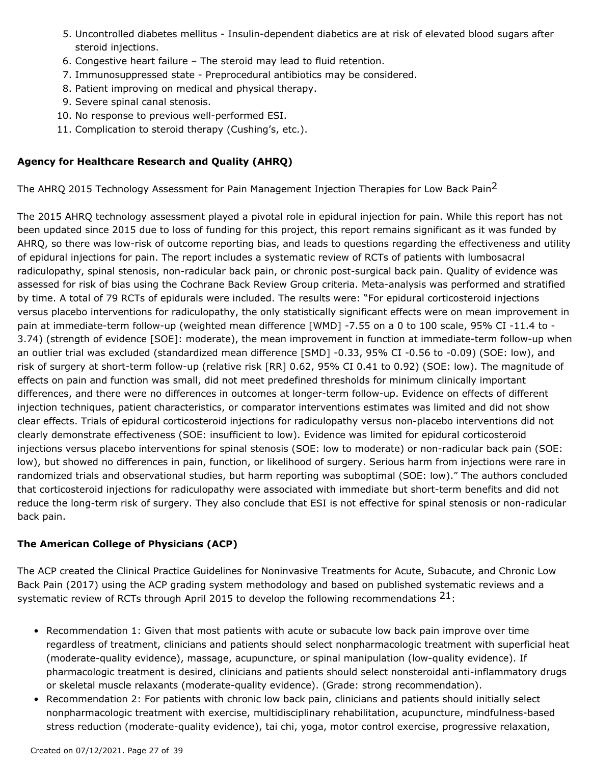- 5. Uncontrolled diabetes mellitus Insulin-dependent diabetics are at risk of elevated blood sugars after steroid injections.
- 6. Congestive heart failure The steroid may lead to fluid retention.
- 7. Immunosuppressed state Preprocedural antibiotics may be considered.
- 8. Patient improving on medical and physical therapy.
- 9. Severe spinal canal stenosis.
- 10. No response to previous well-performed ESI.
- 11. Complication to steroid therapy (Cushing's, etc.).

#### **Agency for Healthcare Research and Quality (AHRQ)**

The AHRQ 2015 Technology Assessment for Pain Management Injection Therapies for Low Back Pain<sup>2</sup>

The 2015 AHRQ technology assessment played a pivotal role in epidural injection for pain. While this report has not been updated since 2015 due to loss of funding for this project, this report remains significant as it was funded by AHRQ, so there was low-risk of outcome reporting bias, and leads to questions regarding the effectiveness and utility of epidural injections for pain. The report includes a systematic review of RCTs of patients with lumbosacral radiculopathy, spinal stenosis, non-radicular back pain, or chronic post-surgical back pain. Quality of evidence was assessed for risk of bias using the Cochrane Back Review Group criteria. Meta-analysis was performed and stratified by time. A total of 79 RCTs of epidurals were included. The results were: "For epidural corticosteroid injections versus placebo interventions for radiculopathy, the only statistically significant effects were on mean improvement in pain at immediate-term follow-up (weighted mean difference [WMD] -7.55 on a 0 to 100 scale, 95% CI -11.4 to - 3.74) (strength of evidence [SOE]: moderate), the mean improvement in function at immediate-term follow-up when an outlier trial was excluded (standardized mean difference [SMD] -0.33, 95% CI -0.56 to -0.09) (SOE: low), and risk of surgery at short-term follow-up (relative risk [RR] 0.62, 95% CI 0.41 to 0.92) (SOE: low). The magnitude of effects on pain and function was small, did not meet predefined thresholds for minimum clinically important differences, and there were no differences in outcomes at longer-term follow-up. Evidence on effects of different injection techniques, patient characteristics, or comparator interventions estimates was limited and did not show clear effects. Trials of epidural corticosteroid injections for radiculopathy versus non-placebo interventions did not clearly demonstrate effectiveness (SOE: insufficient to low). Evidence was limited for epidural corticosteroid injections versus placebo interventions for spinal stenosis (SOE: low to moderate) or non-radicular back pain (SOE: low), but showed no differences in pain, function, or likelihood of surgery. Serious harm from injections were rare in randomized trials and observational studies, but harm reporting was suboptimal (SOE: low)." The authors concluded that corticosteroid injections for radiculopathy were associated with immediate but short-term benefits and did not reduce the long-term risk of surgery. They also conclude that ESI is not effective for spinal stenosis or non-radicular back pain.

### **The American College of Physicians (ACP)**

The ACP created the Clinical Practice Guidelines for Noninvasive Treatments for Acute, Subacute, and Chronic Low Back Pain (2017) using the ACP grading system methodology and based on published systematic reviews and a systematic review of RCTs through April 2015 to develop the following recommendations  $21$ :

- Recommendation 1: Given that most patients with acute or subacute low back pain improve over time regardless of treatment, clinicians and patients should select nonpharmacologic treatment with superficial heat (moderate-quality evidence), massage, acupuncture, or spinal manipulation (low-quality evidence). If pharmacologic treatment is desired, clinicians and patients should select nonsteroidal anti-inflammatory drugs or skeletal muscle relaxants (moderate-quality evidence). (Grade: strong recommendation).
- Recommendation 2: For patients with chronic low back pain, clinicians and patients should initially select nonpharmacologic treatment with exercise, multidisciplinary rehabilitation, acupuncture, mindfulness-based stress reduction (moderate-quality evidence), tai chi, yoga, motor control exercise, progressive relaxation,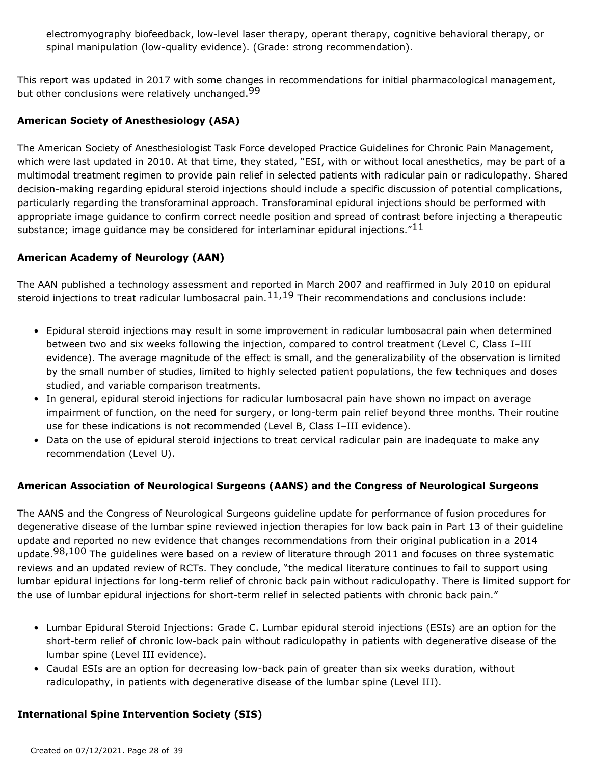electromyography biofeedback, low-level laser therapy, operant therapy, cognitive behavioral therapy, or spinal manipulation (low-quality evidence). (Grade: strong recommendation).

This report was updated in 2017 with some changes in recommendations for initial pharmacological management, but other conclusions were relatively unchanged.<sup>99</sup>

#### **American Society of Anesthesiology (ASA)**

The American Society of Anesthesiologist Task Force developed Practice Guidelines for Chronic Pain Management, which were last updated in 2010. At that time, they stated, "ESI, with or without local anesthetics, may be part of a multimodal treatment regimen to provide pain relief in selected patients with radicular pain or radiculopathy. Shared decision-making regarding epidural steroid injections should include a specific discussion of potential complications, particularly regarding the transforaminal approach. Transforaminal epidural injections should be performed with appropriate image guidance to confirm correct needle position and spread of contrast before injecting a therapeutic substance; image guidance may be considered for interlaminar epidural injections. $"^{11}$ 

#### **American Academy of Neurology (AAN)**

The AAN published a technology assessment and reported in March 2007 and reaffirmed in July 2010 on epidural steroid injections to treat radicular lumbosacral pain. $11,19$  Their recommendations and conclusions include:

- Epidural steroid injections may result in some improvement in radicular lumbosacral pain when determined between two and six weeks following the injection, compared to control treatment (Level C, Class I–III evidence). The average magnitude of the effect is small, and the generalizability of the observation is limited by the small number of studies, limited to highly selected patient populations, the few techniques and doses studied, and variable comparison treatments.
- In general, epidural steroid injections for radicular lumbosacral pain have shown no impact on average impairment of function, on the need for surgery, or long-term pain relief beyond three months. Their routine use for these indications is not recommended (Level B, Class I–III evidence).
- Data on the use of epidural steroid injections to treat cervical radicular pain are inadequate to make any recommendation (Level U).

#### **American Association of Neurological Surgeons (AANS) and the Congress of Neurological Surgeons**

The AANS and the Congress of Neurological Surgeons guideline update for performance of fusion procedures for degenerative disease of the lumbar spine reviewed injection therapies for low back pain in Part 13 of their guideline update and reported no new evidence that changes recommendations from their original publication in a 2014 update.<sup>98,100</sup> The guidelines were based on a review of literature through 2011 and focuses on three systematic reviews and an updated review of RCTs. They conclude, "the medical literature continues to fail to support using lumbar epidural injections for long-term relief of chronic back pain without radiculopathy. There is limited support for the use of lumbar epidural injections for short-term relief in selected patients with chronic back pain."

- Lumbar Epidural Steroid Injections: Grade C. Lumbar epidural steroid injections (ESIs) are an option for the short-term relief of chronic low-back pain without radiculopathy in patients with degenerative disease of the lumbar spine (Level III evidence).
- Caudal ESIs are an option for decreasing low-back pain of greater than six weeks duration, without radiculopathy, in patients with degenerative disease of the lumbar spine (Level III).

#### **International Spine Intervention Society (SIS)**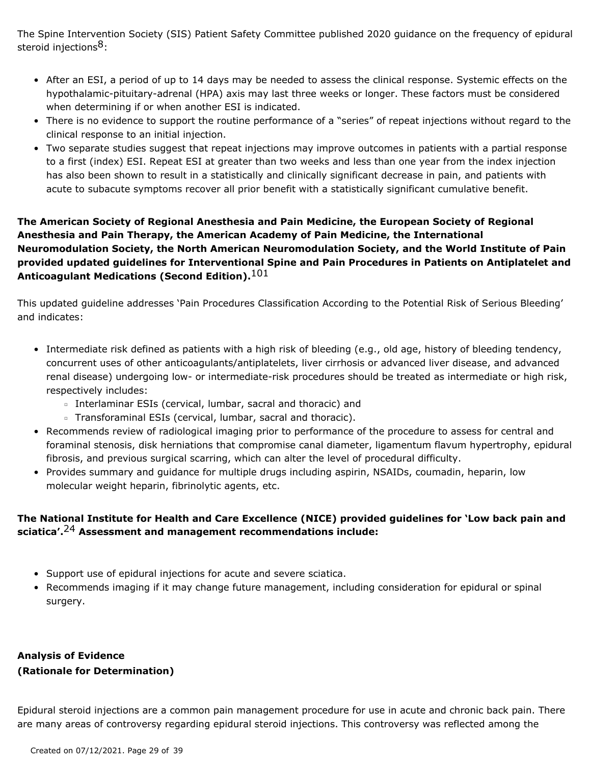The Spine Intervention Society (SIS) Patient Safety Committee published 2020 guidance on the frequency of epidural steroid injections<sup>8</sup>:

- After an ESI, a period of up to 14 days may be needed to assess the clinical response. Systemic effects on the hypothalamic-pituitary-adrenal (HPA) axis may last three weeks or longer. These factors must be considered when determining if or when another ESI is indicated.
- There is no evidence to support the routine performance of a "series" of repeat injections without regard to the clinical response to an initial injection.
- Two separate studies suggest that repeat injections may improve outcomes in patients with a partial response to a first (index) ESI. Repeat ESI at greater than two weeks and less than one year from the index injection has also been shown to result in a statistically and clinically significant decrease in pain, and patients with acute to subacute symptoms recover all prior benefit with a statistically significant cumulative benefit.

# **The American Society of Regional Anesthesia and Pain Medicine, the European Society of Regional Anesthesia and Pain Therapy, the American Academy of Pain Medicine, the International Neuromodulation Society, the North American Neuromodulation Society, and the World Institute of Pain provided updated guidelines for Interventional Spine and Pain Procedures in Patients on Antiplatelet and Anticoagulant Medications (Second Edition).**101

This updated guideline addresses 'Pain Procedures Classification According to the Potential Risk of Serious Bleeding' and indicates:

- Intermediate risk defined as patients with a high risk of bleeding (e.g., old age, history of bleeding tendency, concurrent uses of other anticoagulants/antiplatelets, liver cirrhosis or advanced liver disease, and advanced renal disease) undergoing low- or intermediate-risk procedures should be treated as intermediate or high risk, respectively includes:
	- Interlaminar ESIs (cervical, lumbar, sacral and thoracic) and
	- **Example Transforaminal ESIs (cervical, lumbar, sacral and thoracic).**
- Recommends review of radiological imaging prior to performance of the procedure to assess for central and foraminal stenosis, disk herniations that compromise canal diameter, ligamentum flavum hypertrophy, epidural fibrosis, and previous surgical scarring, which can alter the level of procedural difficulty.
- Provides summary and guidance for multiple drugs including aspirin, NSAIDs, coumadin, heparin, low molecular weight heparin, fibrinolytic agents, etc.

# **The National Institute for Health and Care Excellence (NICE) provided guidelines for 'Low back pain and sciatica'.**24 **Assessment and management recommendations include:**

- Support use of epidural injections for acute and severe sciatica.
- Recommends imaging if it may change future management, including consideration for epidural or spinal surgery.

# **Analysis of Evidence (Rationale for Determination)**

Epidural steroid injections are a common pain management procedure for use in acute and chronic back pain. There are many areas of controversy regarding epidural steroid injections. This controversy was reflected among the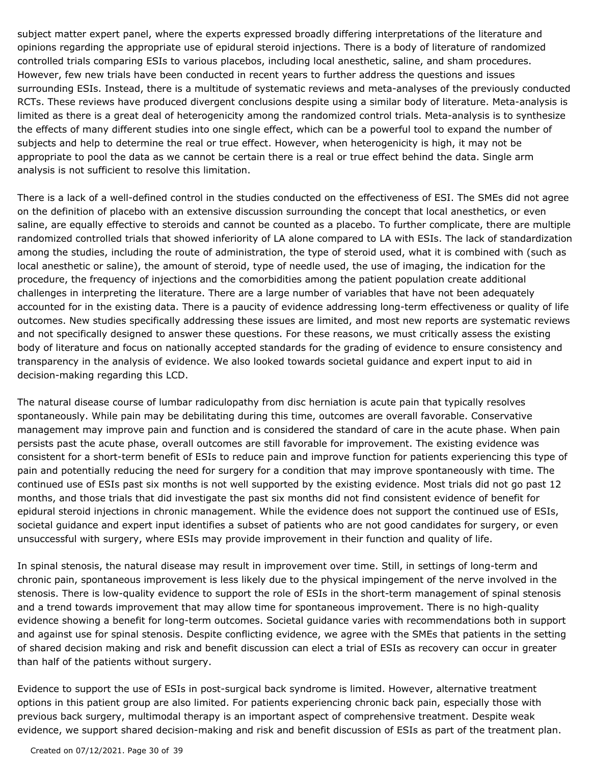subject matter expert panel, where the experts expressed broadly differing interpretations of the literature and opinions regarding the appropriate use of epidural steroid injections. There is a body of literature of randomized controlled trials comparing ESIs to various placebos, including local anesthetic, saline, and sham procedures. However, few new trials have been conducted in recent years to further address the questions and issues surrounding ESIs. Instead, there is a multitude of systematic reviews and meta-analyses of the previously conducted RCTs. These reviews have produced divergent conclusions despite using a similar body of literature. Meta-analysis is limited as there is a great deal of heterogenicity among the randomized control trials. Meta-analysis is to synthesize the effects of many different studies into one single effect, which can be a powerful tool to expand the number of subjects and help to determine the real or true effect. However, when heterogenicity is high, it may not be appropriate to pool the data as we cannot be certain there is a real or true effect behind the data. Single arm analysis is not sufficient to resolve this limitation.

There is a lack of a well-defined control in the studies conducted on the effectiveness of ESI. The SMEs did not agree on the definition of placebo with an extensive discussion surrounding the concept that local anesthetics, or even saline, are equally effective to steroids and cannot be counted as a placebo. To further complicate, there are multiple randomized controlled trials that showed inferiority of LA alone compared to LA with ESIs. The lack of standardization among the studies, including the route of administration, the type of steroid used, what it is combined with (such as local anesthetic or saline), the amount of steroid, type of needle used, the use of imaging, the indication for the procedure, the frequency of injections and the comorbidities among the patient population create additional challenges in interpreting the literature. There are a large number of variables that have not been adequately accounted for in the existing data. There is a paucity of evidence addressing long-term effectiveness or quality of life outcomes. New studies specifically addressing these issues are limited, and most new reports are systematic reviews and not specifically designed to answer these questions. For these reasons, we must critically assess the existing body of literature and focus on nationally accepted standards for the grading of evidence to ensure consistency and transparency in the analysis of evidence. We also looked towards societal guidance and expert input to aid in decision-making regarding this LCD.

The natural disease course of lumbar radiculopathy from disc herniation is acute pain that typically resolves spontaneously. While pain may be debilitating during this time, outcomes are overall favorable. Conservative management may improve pain and function and is considered the standard of care in the acute phase. When pain persists past the acute phase, overall outcomes are still favorable for improvement. The existing evidence was consistent for a short-term benefit of ESIs to reduce pain and improve function for patients experiencing this type of pain and potentially reducing the need for surgery for a condition that may improve spontaneously with time. The continued use of ESIs past six months is not well supported by the existing evidence. Most trials did not go past 12 months, and those trials that did investigate the past six months did not find consistent evidence of benefit for epidural steroid injections in chronic management. While the evidence does not support the continued use of ESIs, societal guidance and expert input identifies a subset of patients who are not good candidates for surgery, or even unsuccessful with surgery, where ESIs may provide improvement in their function and quality of life.

In spinal stenosis, the natural disease may result in improvement over time. Still, in settings of long-term and chronic pain, spontaneous improvement is less likely due to the physical impingement of the nerve involved in the stenosis. There is low-quality evidence to support the role of ESIs in the short-term management of spinal stenosis and a trend towards improvement that may allow time for spontaneous improvement. There is no high-quality evidence showing a benefit for long-term outcomes. Societal guidance varies with recommendations both in support and against use for spinal stenosis. Despite conflicting evidence, we agree with the SMEs that patients in the setting of shared decision making and risk and benefit discussion can elect a trial of ESIs as recovery can occur in greater than half of the patients without surgery.

Evidence to support the use of ESIs in post-surgical back syndrome is limited. However, alternative treatment options in this patient group are also limited. For patients experiencing chronic back pain, especially those with previous back surgery, multimodal therapy is an important aspect of comprehensive treatment. Despite weak evidence, we support shared decision-making and risk and benefit discussion of ESIs as part of the treatment plan.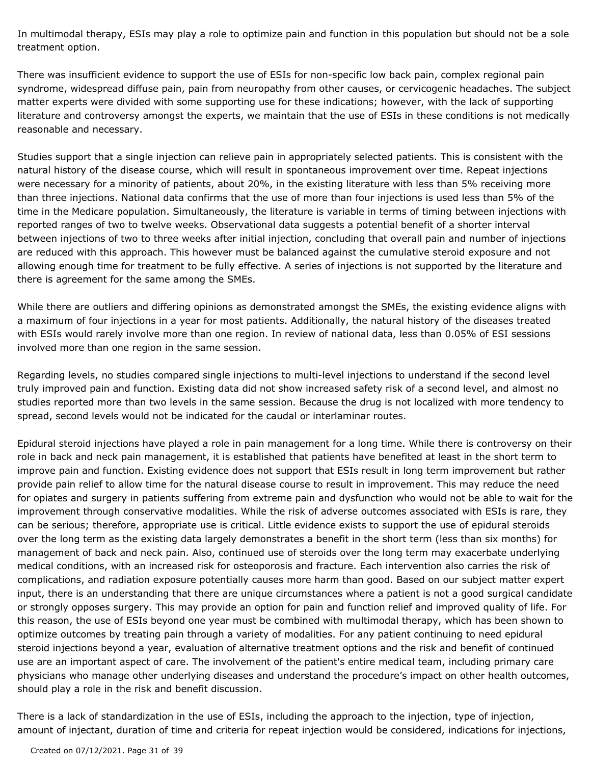In multimodal therapy, ESIs may play a role to optimize pain and function in this population but should not be a sole treatment option.

There was insufficient evidence to support the use of ESIs for non-specific low back pain, complex regional pain syndrome, widespread diffuse pain, pain from neuropathy from other causes, or cervicogenic headaches. The subject matter experts were divided with some supporting use for these indications; however, with the lack of supporting literature and controversy amongst the experts, we maintain that the use of ESIs in these conditions is not medically reasonable and necessary.

Studies support that a single injection can relieve pain in appropriately selected patients. This is consistent with the natural history of the disease course, which will result in spontaneous improvement over time. Repeat injections were necessary for a minority of patients, about 20%, in the existing literature with less than 5% receiving more than three injections. National data confirms that the use of more than four injections is used less than 5% of the time in the Medicare population. Simultaneously, the literature is variable in terms of timing between injections with reported ranges of two to twelve weeks. Observational data suggests a potential benefit of a shorter interval between injections of two to three weeks after initial injection, concluding that overall pain and number of injections are reduced with this approach. This however must be balanced against the cumulative steroid exposure and not allowing enough time for treatment to be fully effective. A series of injections is not supported by the literature and there is agreement for the same among the SMEs.

While there are outliers and differing opinions as demonstrated amongst the SMEs, the existing evidence aligns with a maximum of four injections in a year for most patients. Additionally, the natural history of the diseases treated with ESIs would rarely involve more than one region. In review of national data, less than 0.05% of ESI sessions involved more than one region in the same session.

Regarding levels, no studies compared single injections to multi-level injections to understand if the second level truly improved pain and function. Existing data did not show increased safety risk of a second level, and almost no studies reported more than two levels in the same session. Because the drug is not localized with more tendency to spread, second levels would not be indicated for the caudal or interlaminar routes.

Epidural steroid injections have played a role in pain management for a long time. While there is controversy on their role in back and neck pain management, it is established that patients have benefited at least in the short term to improve pain and function. Existing evidence does not support that ESIs result in long term improvement but rather provide pain relief to allow time for the natural disease course to result in improvement. This may reduce the need for opiates and surgery in patients suffering from extreme pain and dysfunction who would not be able to wait for the improvement through conservative modalities. While the risk of adverse outcomes associated with ESIs is rare, they can be serious; therefore, appropriate use is critical. Little evidence exists to support the use of epidural steroids over the long term as the existing data largely demonstrates a benefit in the short term (less than six months) for management of back and neck pain. Also, continued use of steroids over the long term may exacerbate underlying medical conditions, with an increased risk for osteoporosis and fracture. Each intervention also carries the risk of complications, and radiation exposure potentially causes more harm than good. Based on our subject matter expert input, there is an understanding that there are unique circumstances where a patient is not a good surgical candidate or strongly opposes surgery. This may provide an option for pain and function relief and improved quality of life. For this reason, the use of ESIs beyond one year must be combined with multimodal therapy, which has been shown to optimize outcomes by treating pain through a variety of modalities. For any patient continuing to need epidural steroid injections beyond a year, evaluation of alternative treatment options and the risk and benefit of continued use are an important aspect of care. The involvement of the patient's entire medical team, including primary care physicians who manage other underlying diseases and understand the procedure's impact on other health outcomes, should play a role in the risk and benefit discussion.

There is a lack of standardization in the use of ESIs, including the approach to the injection, type of injection, amount of injectant, duration of time and criteria for repeat injection would be considered, indications for injections,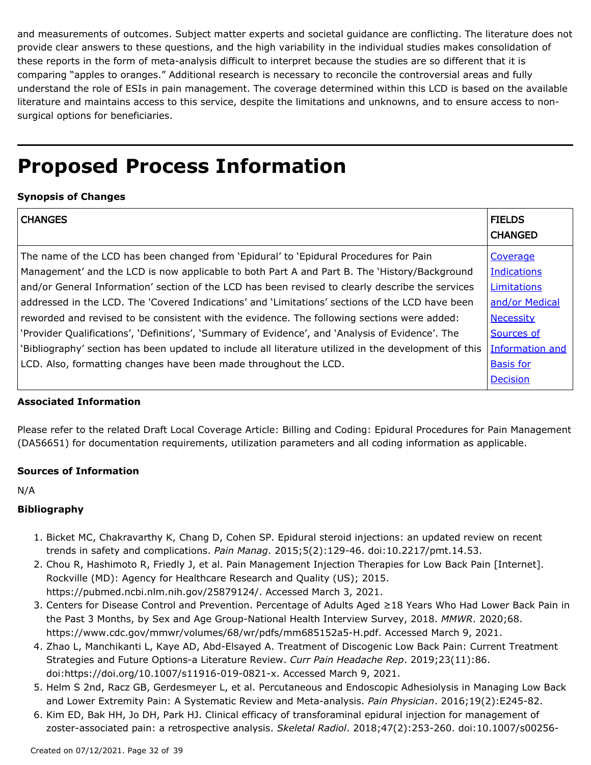and measurements of outcomes. Subject matter experts and societal guidance are conflicting. The literature does not provide clear answers to these questions, and the high variability in the individual studies makes consolidation of these reports in the form of meta-analysis difficult to interpret because the studies are so different that it is comparing "apples to oranges." Additional research is necessary to reconcile the controversial areas and fully understand the role of ESIs in pain management. The coverage determined within this LCD is based on the available literature and maintains access to this service, despite the limitations and unknowns, and to ensure access to nonsurgical options for beneficiaries.

# **Proposed Process Information**

## **Synopsis of Changes**

| <b>CHANGES</b>                                                                                        | <b>FIELDS</b><br><b>CHANGED</b> |
|-------------------------------------------------------------------------------------------------------|---------------------------------|
| The name of the LCD has been changed from 'Epidural' to 'Epidural Procedures for Pain                 | Coverage                        |
| Management' and the LCD is now applicable to both Part A and Part B. The 'History/Background          | <b>Indications</b>              |
| and/or General Information' section of the LCD has been revised to clearly describe the services      | Limitations                     |
| addressed in the LCD. The 'Covered Indications' and 'Limitations' sections of the LCD have been       | and/or Medical                  |
| reworded and revised to be consistent with the evidence. The following sections were added:           | <b>Necessity</b>                |
| 'Provider Qualifications', 'Definitions', 'Summary of Evidence', and 'Analysis of Evidence'. The      | Sources of                      |
| 'Bibliography' section has been updated to include all literature utilized in the development of this | <b>Information and</b>          |
| LCD. Also, formatting changes have been made throughout the LCD.                                      | <b>Basis for</b>                |
|                                                                                                       | <b>Decision</b>                 |

### **Associated Information**

Please refer to the related Draft Local Coverage Article: Billing and Coding: Epidural Procedures for Pain Management (DA56651) for documentation requirements, utilization parameters and all coding information as applicable.

### **Sources of Information**

N/A

### **Bibliography**

- 1. Bicket MC, Chakravarthy K, Chang D, Cohen SP. Epidural steroid injections: an updated review on recent trends in safety and complications. *Pain Manag*. 2015;5(2):129-46. doi:10.2217/pmt.14.53.
- 2. Chou R, Hashimoto R, Friedly J, et al. Pain Management Injection Therapies for Low Back Pain [Internet]. Rockville (MD): Agency for Healthcare Research and Quality (US); 2015. https://pubmed.ncbi.nlm.nih.gov/25879124/. Accessed March 3, 2021.
- 3. Centers for Disease Control and Prevention. Percentage of Adults Aged ≥18 Years Who Had Lower Back Pain in the Past 3 Months, by Sex and Age Group-National Health Interview Survey, 2018. *MMWR*. 2020;68. https://www.cdc.gov/mmwr/volumes/68/wr/pdfs/mm685152a5-H.pdf. Accessed March 9, 2021.
- 4. Zhao L, Manchikanti L, Kaye AD, Abd-Elsayed A. Treatment of Discogenic Low Back Pain: Current Treatment Strategies and Future Options-a Literature Review. *Curr Pain Headache Rep*. 2019;23(11):86. doi:https://doi.org/10.1007/s11916-019-0821-x. Accessed March 9, 2021.
- 5. Helm S 2nd, Racz GB, Gerdesmeyer L, et al. Percutaneous and Endoscopic Adhesiolysis in Managing Low Back and Lower Extremity Pain: A Systematic Review and Meta-analysis. *Pain Physician*. 2016;19(2):E245-82.
- 6. Kim ED, Bak HH, Jo DH, Park HJ. Clinical efficacy of transforaminal epidural injection for management of zoster-associated pain: a retrospective analysis. *Skeletal Radiol*. 2018;47(2):253-260. doi:10.1007/s00256-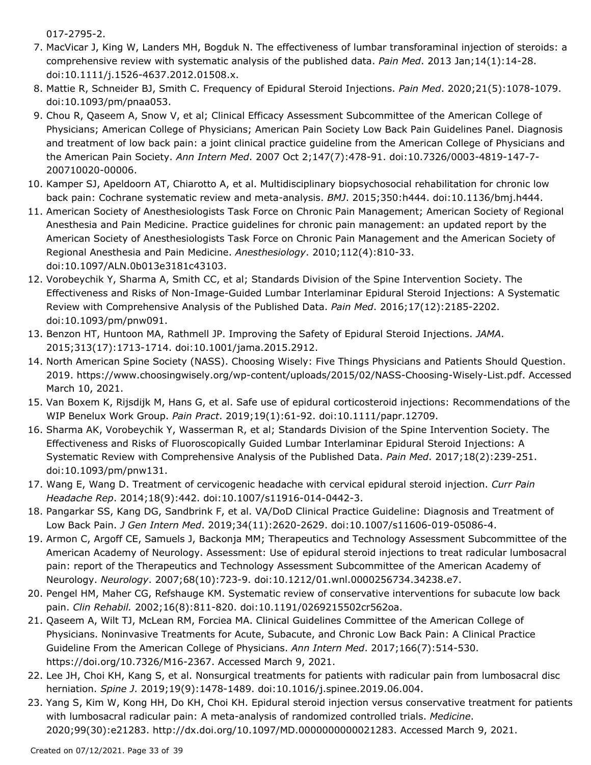017-2795-2.

- 7. MacVicar J, King W, Landers MH, Bogduk N. The effectiveness of lumbar transforaminal injection of steroids: a comprehensive review with systematic analysis of the published data. *Pain Med*. 2013 Jan;14(1):14-28. doi:10.1111/j.1526-4637.2012.01508.x.
- 8. Mattie R, Schneider BJ, Smith C. Frequency of Epidural Steroid Injections. *Pain Med*. 2020;21(5):1078-1079. doi:10.1093/pm/pnaa053.
- 9. Chou R, Qaseem A, Snow V, et al; Clinical Efficacy Assessment Subcommittee of the American College of Physicians; American College of Physicians; American Pain Society Low Back Pain Guidelines Panel. Diagnosis and treatment of low back pain: a joint clinical practice guideline from the American College of Physicians and the American Pain Society. *Ann Intern Med*. 2007 Oct 2;147(7):478-91. doi:10.7326/0003-4819-147-7- 200710020-00006.
- 10. Kamper SJ, Apeldoorn AT, Chiarotto A, et al. Multidisciplinary biopsychosocial rehabilitation for chronic low back pain: Cochrane systematic review and meta-analysis. *BMJ*. 2015;350:h444. doi:10.1136/bmj.h444.
- 11. American Society of Anesthesiologists Task Force on Chronic Pain Management; American Society of Regional Anesthesia and Pain Medicine. Practice guidelines for chronic pain management: an updated report by the American Society of Anesthesiologists Task Force on Chronic Pain Management and the American Society of Regional Anesthesia and Pain Medicine. *Anesthesiology*. 2010;112(4):810-33. doi:10.1097/ALN.0b013e3181c43103.
- 12. Vorobeychik Y, Sharma A, Smith CC, et al; Standards Division of the Spine Intervention Society. The Effectiveness and Risks of Non-Image-Guided Lumbar Interlaminar Epidural Steroid Injections: A Systematic Review with Comprehensive Analysis of the Published Data. *Pain Med*. 2016;17(12):2185-2202. doi:10.1093/pm/pnw091.
- 13. Benzon HT, Huntoon MA, Rathmell JP. Improving the Safety of Epidural Steroid Injections. JAMA. 2015;313(17):1713-1714. doi:10.1001/jama.2015.2912.
- 14. North American Spine Society (NASS). Choosing Wisely: Five Things Physicians and Patients Should Question. 2019. https://www.choosingwisely.org/wp-content/uploads/2015/02/NASS-Choosing-Wisely-List.pdf. Accessed March 10, 2021.
- 15. Van Boxem K, Rijsdijk M, Hans G, et al. Safe use of epidural corticosteroid injections: Recommendations of the WIP Benelux Work Group. *Pain Pract*. 2019;19(1):61-92. doi:10.1111/papr.12709.
- 16. Sharma AK, Vorobeychik Y, Wasserman R, et al; Standards Division of the Spine Intervention Society. The Effectiveness and Risks of Fluoroscopically Guided Lumbar Interlaminar Epidural Steroid Injections: A Systematic Review with Comprehensive Analysis of the Published Data. *Pain Med*. 2017;18(2):239-251. doi:10.1093/pm/pnw131.
- 17. Wang E, Wang D. Treatment of cervicogenic headache with cervical epidural steroid injection. *Curr Pain Headache Rep*. 2014;18(9):442. doi:10.1007/s11916-014-0442-3.
- 18. Pangarkar SS, Kang DG, Sandbrink F, et al. VA/DoD Clinical Practice Guideline: Diagnosis and Treatment of Low Back Pain. *J Gen Intern Med*. 2019;34(11):2620-2629. doi:10.1007/s11606-019-05086-4.
- 19. Armon C, Argoff CE, Samuels J, Backonja MM; Therapeutics and Technology Assessment Subcommittee of the American Academy of Neurology. Assessment: Use of epidural steroid injections to treat radicular lumbosacral pain: report of the Therapeutics and Technology Assessment Subcommittee of the American Academy of Neurology. *Neurology*. 2007;68(10):723-9. doi:10.1212/01.wnl.0000256734.34238.e7.
- 20. Pengel HM, Maher CG, Refshauge KM. Systematic review of conservative interventions for subacute low back pain. *Clin Rehabil.* 2002;16(8):811-820. doi:10.1191/0269215502cr562oa.
- 21. Qaseem A, Wilt TJ, McLean RM, Forciea MA. Clinical Guidelines Committee of the American College of Physicians. Noninvasive Treatments for Acute, Subacute, and Chronic Low Back Pain: A Clinical Practice Guideline From the American College of Physicians. *Ann Intern Med*. 2017;166(7):514-530. https://doi.org/10.7326/M16-2367. Accessed March 9, 2021.
- 22. Lee JH, Choi KH, Kang S, et al. Nonsurgical treatments for patients with radicular pain from lumbosacral disc herniation. *Spine J*. 2019;19(9):1478-1489. doi:10.1016/j.spinee.2019.06.004.
- 23. Yang S, Kim W, Kong HH, Do KH, Choi KH. Epidural steroid injection versus conservative treatment for patients with lumbosacral radicular pain: A meta-analysis of randomized controlled trials. *Medicine*. 2020;99(30):e21283. http://dx.doi.org/10.1097/MD.0000000000021283. Accessed March 9, 2021.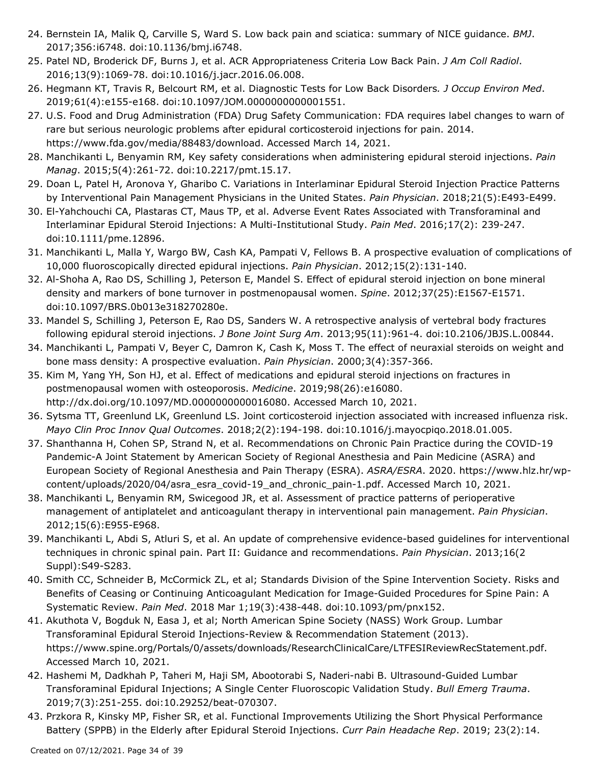- 24. Bernstein IA, Malik Q, Carville S, Ward S. Low back pain and sciatica: summary of NICE guidance. BMJ. 2017;356:i6748. doi:10.1136/bmj.i6748.
- 25. Patel ND, Broderick DF, Burns J, et al. ACR Appropriateness Criteria Low Back Pain. *J Am Coll Radiol*. 2016;13(9):1069-78. doi:10.1016/j.jacr.2016.06.008.
- 26. Hegmann KT, Travis R, Belcourt RM, et al. Diagnostic Tests for Low Back Disorders*. J Occup Environ Med*. 2019;61(4):e155-e168. doi:10.1097/JOM.0000000000001551.
- 27. U.S. Food and Drug Administration (FDA) Drug Safety Communication: FDA requires label changes to warn of rare but serious neurologic problems after epidural corticosteroid injections for pain. 2014. https://www.fda.gov/media/88483/download. Accessed March 14, 2021.
- 28. Manchikanti L, Benyamin RM, Key safety considerations when administering epidural steroid injections. Pain *Manag*. 2015;5(4):261-72. doi:10.2217/pmt.15.17.
- 29. Doan L, Patel H, Aronova Y, Gharibo C. Variations in Interlaminar Epidural Steroid Injection Practice Patterns by Interventional Pain Management Physicians in the United States. *Pain Physician*. 2018;21(5):E493-E499.
- El-Yahchouchi CA, Plastaras CT, Maus TP, et al. Adverse Event Rates Associated with Transforaminal and 30. Interlaminar Epidural Steroid Injections: A Multi-Institutional Study. *Pain Med*. 2016;17(2): 239-247. doi:10.1111/pme.12896.
- 31. Manchikanti L, Malla Y, Wargo BW, Cash KA, Pampati V, Fellows B. A prospective evaluation of complications of 10,000 fluoroscopically directed epidural injections. *Pain Physician*. 2012;15(2):131-140.
- 32. Al-Shoha A, Rao DS, Schilling J, Peterson E, Mandel S. Effect of epidural steroid injection on bone mineral density and markers of bone turnover in postmenopausal women. *Spine*. 2012;37(25):E1567-E1571. doi:10.1097/BRS.0b013e318270280e.
- 33. Mandel S, Schilling J, Peterson E, Rao DS, Sanders W. A retrospective analysis of vertebral body fractures following epidural steroid injections. *J Bone Joint Surg Am*. 2013;95(11):961-4. doi:10.2106/JBJS.L.00844.
- 34. Manchikanti L, Pampati V, Beyer C, Damron K, Cash K, Moss T. The effect of neuraxial steroids on weight and bone mass density: A prospective evaluation. *Pain Physician*. 2000;3(4):357-366.
- 35. Kim M, Yang YH, Son HJ, et al. Effect of medications and epidural steroid injections on fractures in postmenopausal women with osteoporosis. *Medicine*. 2019;98(26):e16080. http://dx.doi.org/10.1097/MD.0000000000016080. Accessed March 10, 2021.
- 36. Sytsma TT, Greenlund LK, Greenlund LS. Joint corticosteroid injection associated with increased influenza risk. *Mayo Clin Proc Innov Qual Outcomes*. 2018;2(2):194-198. doi:10.1016/j.mayocpiqo.2018.01.005.
- 37. Shanthanna H, Cohen SP, Strand N, et al. Recommendations on Chronic Pain Practice during the COVID-19 Pandemic-A Joint Statement by American Society of Regional Anesthesia and Pain Medicine (ASRA) and European Society of Regional Anesthesia and Pain Therapy (ESRA). *ASRA/ESRA*. 2020. https://www.hlz.hr/wpcontent/uploads/2020/04/asra\_esra\_covid-19\_and\_chronic\_pain-1.pdf. Accessed March 10, 2021.
- 38. Manchikanti L, Benyamin RM, Swicegood JR, et al. Assessment of practice patterns of perioperative management of antiplatelet and anticoagulant therapy in interventional pain management. *Pain Physician*. 2012;15(6):E955-E968.
- 39. Manchikanti L, Abdi S, Atluri S, et al. An update of comprehensive evidence-based guidelines for interventional techniques in chronic spinal pain. Part II: Guidance and recommendations. *Pain Physician*. 2013;16(2 Suppl):S49-S283.
- 40. Smith CC, Schneider B, McCormick ZL, et al; Standards Division of the Spine Intervention Society. Risks and Benefits of Ceasing or Continuing Anticoagulant Medication for Image-Guided Procedures for Spine Pain: A Systematic Review. *Pain Med*. 2018 Mar 1;19(3):438-448. doi:10.1093/pm/pnx152.
- 41. Akuthota V, Bogduk N, Easa J, et al; North American Spine Society (NASS) Work Group. Lumbar Transforaminal Epidural Steroid Injections-Review & Recommendation Statement (2013). https://www.spine.org/Portals/0/assets/downloads/ResearchClinicalCare/LTFESIReviewRecStatement.pdf. Accessed March 10, 2021.
- 42. Hashemi M, Dadkhah P, Taheri M, Haji SM, Abootorabi S, Naderi-nabi B. Ultrasound-Guided Lumbar Transforaminal Epidural Injections; A Single Center Fluoroscopic Validation Study. *Bull Emerg Trauma*. 2019;7(3):251-255. doi:10.29252/beat-070307.
- 43. Przkora R, Kinsky MP, Fisher SR, et al. Functional Improvements Utilizing the Short Physical Performance Battery (SPPB) in the Elderly after Epidural Steroid Injections. *Curr Pain Headache Rep*. 2019; 23(2):14.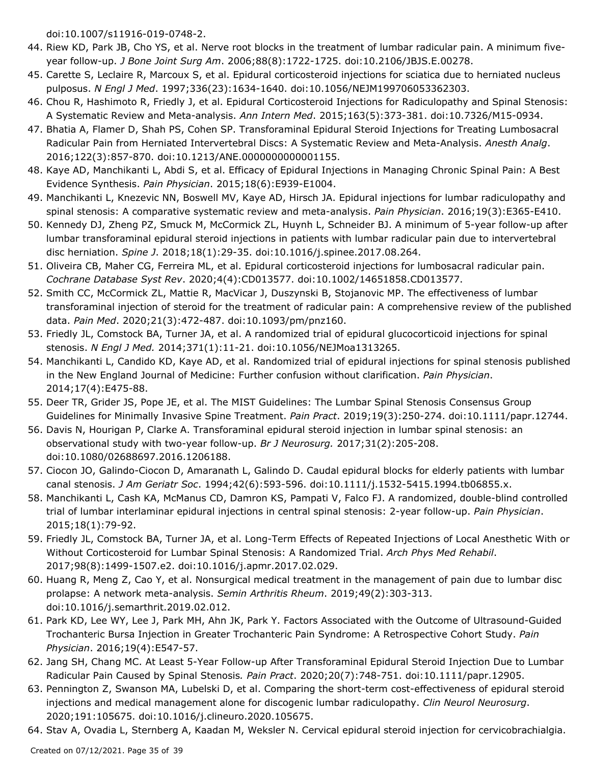doi:10.1007/s11916-019-0748-2.

- 44. Riew KD, Park JB, Cho YS, et al. Nerve root blocks in the treatment of lumbar radicular pain. A minimum fiveyear follow-up. *J Bone Joint Surg Am*. 2006;88(8):1722-1725. doi:10.2106/JBJS.E.00278.
- 45. Carette S, Leclaire R, Marcoux S, et al. Epidural corticosteroid injections for sciatica due to herniated nucleus pulposus. *N Engl J Med*. 1997;336(23):1634-1640. doi:10.1056/NEJM199706053362303.
- 46. Chou R, Hashimoto R, Friedly J, et al. Epidural Corticosteroid Injections for Radiculopathy and Spinal Stenosis: A Systematic Review and Meta-analysis. *Ann Intern Med*. 2015;163(5):373-381. doi:10.7326/M15-0934.
- 47. Bhatia A, Flamer D, Shah PS, Cohen SP. Transforaminal Epidural Steroid Injections for Treating Lumbosacral Radicular Pain from Herniated Intervertebral Discs: A Systematic Review and Meta-Analysis. *Anesth Analg*. 2016;122(3):857-870. doi:10.1213/ANE.0000000000001155.
- 48. Kaye AD, Manchikanti L, Abdi S, et al. Efficacy of Epidural Injections in Managing Chronic Spinal Pain: A Best Evidence Synthesis. *Pain Physician*. 2015;18(6):E939-E1004.
- 49. Manchikanti L, Knezevic NN, Boswell MV, Kaye AD, Hirsch JA. Epidural injections for lumbar radiculopathy and spinal stenosis: A comparative systematic review and meta-analysis. *Pain Physician*. 2016;19(3):E365-E410.
- 50. Kennedy DJ, Zheng PZ, Smuck M, McCormick ZL, Huynh L, Schneider BJ. A minimum of 5-year follow-up after lumbar transforaminal epidural steroid injections in patients with lumbar radicular pain due to intervertebral disc herniation. *Spine J*. 2018;18(1):29-35. doi:10.1016/j.spinee.2017.08.264.
- 51. Oliveira CB, Maher CG, Ferreira ML, et al. Epidural corticosteroid injections for lumbosacral radicular pain. *Cochrane Database Syst Rev*. 2020;4(4):CD013577. doi:10.1002/14651858.CD013577.
- 52. Smith CC, McCormick ZL, Mattie R, MacVicar J, Duszynski B, Stojanovic MP. The effectiveness of lumbar transforaminal injection of steroid for the treatment of radicular pain: A comprehensive review of the published data. *Pain Med*. 2020;21(3):472-487. doi:10.1093/pm/pnz160.
- 53. Friedly JL, Comstock BA, Turner JA, et al. A randomized trial of epidural glucocorticoid injections for spinal stenosis. *N Engl J Med.* 2014;371(1):11-21. doi:10.1056/NEJMoa1313265.
- 54. Manchikanti L, Candido KD, Kaye AD, et al. Randomized trial of epidural injections for spinal stenosis published in the New England Journal of Medicine: Further confusion without clarification. *Pain Physician*. 2014;17(4):E475-88.
- 55. Deer TR, Grider JS, Pope JE, et al. The MIST Guidelines: The Lumbar Spinal Stenosis Consensus Group Guidelines for Minimally Invasive Spine Treatment. *Pain Pract*. 2019;19(3):250-274. doi:10.1111/papr.12744.
- 56. Davis N, Hourigan P, Clarke A. Transforaminal epidural steroid injection in lumbar spinal stenosis: an observational study with two-year follow-up. *Br J Neurosurg.* 2017;31(2):205-208. doi:10.1080/02688697.2016.1206188.
- 57. Ciocon JO, Galindo-Ciocon D, Amaranath L, Galindo D. Caudal epidural blocks for elderly patients with lumbar canal stenosis. *J Am Geriatr Soc*. 1994;42(6):593-596. doi:10.1111/j.1532-5415.1994.tb06855.x.
- 58. Manchikanti L, Cash KA, McManus CD, Damron KS, Pampati V, Falco FJ. A randomized, double-blind controlled trial of lumbar interlaminar epidural injections in central spinal stenosis: 2-year follow-up. *Pain Physician*. 2015;18(1):79-92.
- Friedly JL, Comstock BA, Turner JA, et al. Long-Term Effects of Repeated Injections of Local Anesthetic With or 59. Without Corticosteroid for Lumbar Spinal Stenosis: A Randomized Trial. *Arch Phys Med Rehabil*. 2017;98(8):1499-1507.e2. doi:10.1016/j.apmr.2017.02.029.
- 60. Huang R, Meng Z, Cao Y, et al. Nonsurgical medical treatment in the management of pain due to lumbar disc prolapse: A network meta-analysis. *Semin Arthritis Rheum*. 2019;49(2):303-313. doi:10.1016/j.semarthrit.2019.02.012.
- 61. Park KD, Lee WY, Lee J, Park MH, Ahn JK, Park Y. Factors Associated with the Outcome of Ultrasound-Guided Trochanteric Bursa Injection in Greater Trochanteric Pain Syndrome: A Retrospective Cohort Study. *Pain Physician*. 2016;19(4):E547-57.
- 62. Jang SH, Chang MC. At Least 5-Year Follow-up After Transforaminal Epidural Steroid Injection Due to Lumbar Radicular Pain Caused by Spinal Stenosis*. Pain Pract*. 2020;20(7):748-751. doi:10.1111/papr.12905.
- 63. Pennington Z, Swanson MA, Lubelski D, et al. Comparing the short-term cost-effectiveness of epidural steroid injections and medical management alone for discogenic lumbar radiculopathy. *Clin Neurol Neurosurg*. 2020;191:105675. doi:10.1016/j.clineuro.2020.105675.
- 64. Stav A, Ovadia L, Sternberg A, Kaadan M, Weksler N. Cervical epidural steroid injection for cervicobrachialgia.

Created on 07/12/2021. Page 35 of 39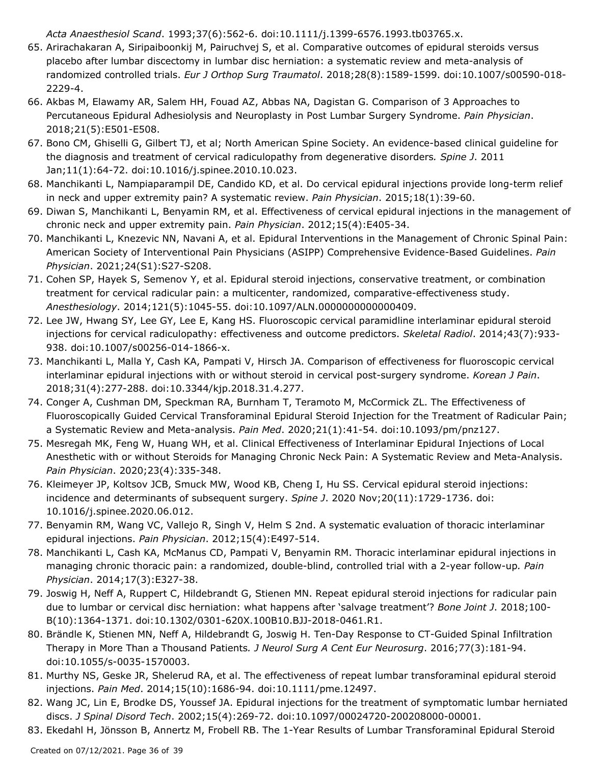*Acta Anaesthesiol Scand*. 1993;37(6):562-6. doi:10.1111/j.1399-6576.1993.tb03765.x.

- 65. Arirachakaran A, Siripaiboonkij M, Pairuchvej S, et al. Comparative outcomes of epidural steroids versus placebo after lumbar discectomy in lumbar disc herniation: a systematic review and meta-analysis of randomized controlled trials. *Eur J Orthop Surg Traumatol*. 2018;28(8):1589-1599. doi:10.1007/s00590-018- 2229-4.
- 66. Akbas M, Elawamy AR, Salem HH, Fouad AZ, Abbas NA, Dagistan G. Comparison of 3 Approaches to Percutaneous Epidural Adhesiolysis and Neuroplasty in Post Lumbar Surgery Syndrome. *Pain Physician*. 2018;21(5):E501-E508.
- 67. Bono CM, Ghiselli G, Gilbert TJ, et al; North American Spine Society. An evidence-based clinical guideline for the diagnosis and treatment of cervical radiculopathy from degenerative disorders*. Spine J*. 2011 Jan;11(1):64-72. doi:10.1016/j.spinee.2010.10.023.
- 68. Manchikanti L, Nampiaparampil DE, Candido KD, et al. Do cervical epidural injections provide long-term relief in neck and upper extremity pain? A systematic review. *Pain Physician*. 2015;18(1):39-60.
- 69. Diwan S, Manchikanti L, Benyamin RM, et al. Effectiveness of cervical epidural injections in the management of chronic neck and upper extremity pain. *Pain Physician*. 2012;15(4):E405-34.
- 70. Manchikanti L, Knezevic NN, Navani A, et al. Epidural Interventions in the Management of Chronic Spinal Pain: American Society of Interventional Pain Physicians (ASIPP) Comprehensive Evidence-Based Guidelines. *Pain Physician*. 2021;24(S1):S27-S208.
- 71. Cohen SP, Hayek S, Semenov Y, et al. Epidural steroid injections, conservative treatment, or combination treatment for cervical radicular pain: a multicenter, randomized, comparative-effectiveness study. *Anesthesiology*. 2014;121(5):1045-55. doi:10.1097/ALN.0000000000000409.
- 72. Lee JW, Hwang SY, Lee GY, Lee E, Kang HS. Fluoroscopic cervical paramidline interlaminar epidural steroid injections for cervical radiculopathy: effectiveness and outcome predictors. *Skeletal Radiol*. 2014;43(7):933- 938. doi:10.1007/s00256-014-1866-x.
- 73. Manchikanti L, Malla Y, Cash KA, Pampati V, Hirsch JA. Comparison of effectiveness for fluoroscopic cervical interlaminar epidural injections with or without steroid in cervical post-surgery syndrome. *Korean J Pain*. 2018;31(4):277-288. doi:10.3344/kjp.2018.31.4.277.
- 74. Conger A, Cushman DM, Speckman RA, Burnham T, Teramoto M, McCormick ZL. The Effectiveness of Fluoroscopically Guided Cervical Transforaminal Epidural Steroid Injection for the Treatment of Radicular Pain; a Systematic Review and Meta-analysis. *Pain Med*. 2020;21(1):41-54. doi:10.1093/pm/pnz127.
- 75. Mesregah MK, Feng W, Huang WH, et al. Clinical Effectiveness of Interlaminar Epidural Injections of Local Anesthetic with or without Steroids for Managing Chronic Neck Pain: A Systematic Review and Meta-Analysis. *Pain Physician*. 2020;23(4):335-348.
- 76. Kleimeyer JP, Koltsov JCB, Smuck MW, Wood KB, Cheng I, Hu SS. Cervical epidural steroid injections: incidence and determinants of subsequent surgery. *Spine J*. 2020 Nov;20(11):1729-1736. doi: 10.1016/j.spinee.2020.06.012.
- 77. Benyamin RM, Wang VC, Vallejo R, Singh V, Helm S 2nd. A systematic evaluation of thoracic interlaminar epidural injections. *Pain Physician*. 2012;15(4):E497-514.
- 78. Manchikanti L, Cash KA, McManus CD, Pampati V, Benyamin RM. Thoracic interlaminar epidural injections in managing chronic thoracic pain: a randomized, double-blind, controlled trial with a 2-year follow-up*. Pain Physician*. 2014;17(3):E327-38.
- 79. Joswig H, Neff A, Ruppert C, Hildebrandt G, Stienen MN. Repeat epidural steroid injections for radicular pain due to lumbar or cervical disc herniation: what happens after 'salvage treatment'? *Bone Joint J*. 2018;100- B(10):1364-1371. doi:10.1302/0301-620X.100B10.BJJ-2018-0461.R1.
- Brändle K, Stienen MN, Neff A, Hildebrandt G, Joswig H. Ten-Day Response to CT-Guided Spinal Infiltration 80. Therapy in More Than a Thousand Patients*. J Neurol Surg A Cent Eur Neurosurg*. 2016;77(3):181-94. doi:10.1055/s-0035-1570003.
- 81. Murthy NS, Geske JR, Shelerud RA, et al. The effectiveness of repeat lumbar transforaminal epidural steroid injections. *Pain Med*. 2014;15(10):1686-94. doi:10.1111/pme.12497.
- 82. Wang JC, Lin E, Brodke DS, Youssef JA. Epidural injections for the treatment of symptomatic lumbar herniated discs. *J Spinal Disord Tech*. 2002;15(4):269-72. doi:10.1097/00024720-200208000-00001.
- 83. Ekedahl H, Jönsson B, Annertz M, Frobell RB. The 1-Year Results of Lumbar Transforaminal Epidural Steroid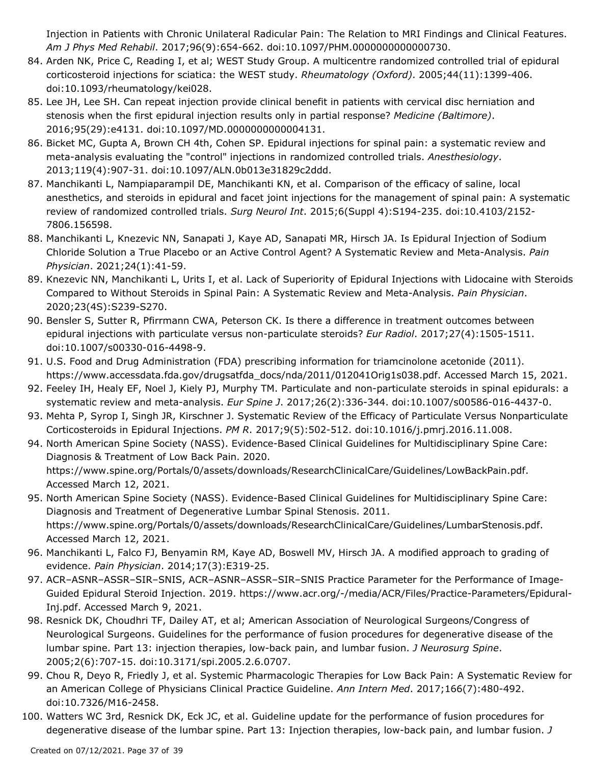Injection in Patients with Chronic Unilateral Radicular Pain: The Relation to MRI Findings and Clinical Features. *Am J Phys Med Rehabil*. 2017;96(9):654-662. doi:10.1097/PHM.0000000000000730.

- 84. Arden NK, Price C, Reading I, et al; WEST Study Group. A multicentre randomized controlled trial of epidural corticosteroid injections for sciatica: the WEST study. *Rheumatology (Oxford)*. 2005;44(11):1399-406. doi:10.1093/rheumatology/kei028.
- 85. Lee JH, Lee SH. Can repeat injection provide clinical benefit in patients with cervical disc herniation and stenosis when the first epidural injection results only in partial response? *Medicine (Baltimore)*. 2016;95(29):e4131. doi:10.1097/MD.0000000000004131.
- 86. Bicket MC, Gupta A, Brown CH 4th, Cohen SP. Epidural injections for spinal pain: a systematic review and meta-analysis evaluating the "control" injections in randomized controlled trials. *Anesthesiology*. 2013;119(4):907-31. doi:10.1097/ALN.0b013e31829c2ddd.
- 87. Manchikanti L, Nampiaparampil DE, Manchikanti KN, et al. Comparison of the efficacy of saline, local anesthetics, and steroids in epidural and facet joint injections for the management of spinal pain: A systematic review of randomized controlled trials. *Surg Neurol Int*. 2015;6(Suppl 4):S194-235. doi:10.4103/2152- 7806.156598.
- 88. Manchikanti L, Knezevic NN, Sanapati J, Kaye AD, Sanapati MR, Hirsch JA. Is Epidural Injection of Sodium Chloride Solution a True Placebo or an Active Control Agent? A Systematic Review and Meta-Analysis. *Pain Physician*. 2021;24(1):41-59.
- 89. Knezevic NN, Manchikanti L, Urits I, et al. Lack of Superiority of Epidural Injections with Lidocaine with Steroids Compared to Without Steroids in Spinal Pain: A Systematic Review and Meta-Analysis. *Pain Physician*. 2020;23(4S):S239-S270.
- 90. Bensler S, Sutter R, Pfirrmann CWA, Peterson CK. Is there a difference in treatment outcomes between epidural injections with particulate versus non-particulate steroids? *Eur Radiol*. 2017;27(4):1505-1511. doi:10.1007/s00330-016-4498-9.
- U.S. Food and Drug Administration (FDA) prescribing information for triamcinolone acetonide (2011). 91. https://www.accessdata.fda.gov/drugsatfda\_docs/nda/2011/012041Orig1s038.pdf. Accessed March 15, 2021.
- 92. Feeley IH, Healy EF, Noel J, Kiely PJ, Murphy TM. Particulate and non-particulate steroids in spinal epidurals: a systematic review and meta-analysis. *Eur Spine J*. 2017;26(2):336-344. doi:10.1007/s00586-016-4437-0.
- 93. Mehta P, Syrop I, Singh JR, Kirschner J. Systematic Review of the Efficacy of Particulate Versus Nonparticulate Corticosteroids in Epidural Injections. *PM R*. 2017;9(5):502-512. doi:10.1016/j.pmrj.2016.11.008.
- 94. North American Spine Society (NASS). Evidence-Based Clinical Guidelines for Multidisciplinary Spine Care: Diagnosis & Treatment of Low Back Pain. 2020. https://www.spine.org/Portals/0/assets/downloads/ResearchClinicalCare/Guidelines/LowBackPain.pdf. Accessed March 12, 2021.
- 95. North American Spine Society (NASS). Evidence-Based Clinical Guidelines for Multidisciplinary Spine Care: Diagnosis and Treatment of Degenerative Lumbar Spinal Stenosis. 2011. https://www.spine.org/Portals/0/assets/downloads/ResearchClinicalCare/Guidelines/LumbarStenosis.pdf. Accessed March 12, 2021.
- 96. Manchikanti L, Falco FJ, Benyamin RM, Kaye AD, Boswell MV, Hirsch JA. A modified approach to grading of evidence. *Pain Physician*. 2014;17(3):E319-25.
- 97. ACR–ASNR–ASSR–SIR–SNIS, ACR–ASNR–ASSR–SIR–SNIS Practice Parameter for the Performance of Image-Guided Epidural Steroid Injection. 2019. https://www.acr.org/-/media/ACR/Files/Practice-Parameters/Epidural-Inj.pdf. Accessed March 9, 2021.
- 98. Resnick DK, Choudhri TF, Dailey AT, et al; American Association of Neurological Surgeons/Congress of Neurological Surgeons. Guidelines for the performance of fusion procedures for degenerative disease of the lumbar spine. Part 13: injection therapies, low-back pain, and lumbar fusion. *J Neurosurg Spine*. 2005;2(6):707-15. doi:10.3171/spi.2005.2.6.0707.
- 99. Chou R, Deyo R, Friedly J, et al. Systemic Pharmacologic Therapies for Low Back Pain: A Systematic Review for an American College of Physicians Clinical Practice Guideline. *Ann Intern Med*. 2017;166(7):480-492. doi:10.7326/M16-2458.
- 100. Watters WC 3rd, Resnick DK, Eck JC, et al. Guideline update for the performance of fusion procedures for degenerative disease of the lumbar spine. Part 13: Injection therapies, low-back pain, and lumbar fusion. *J*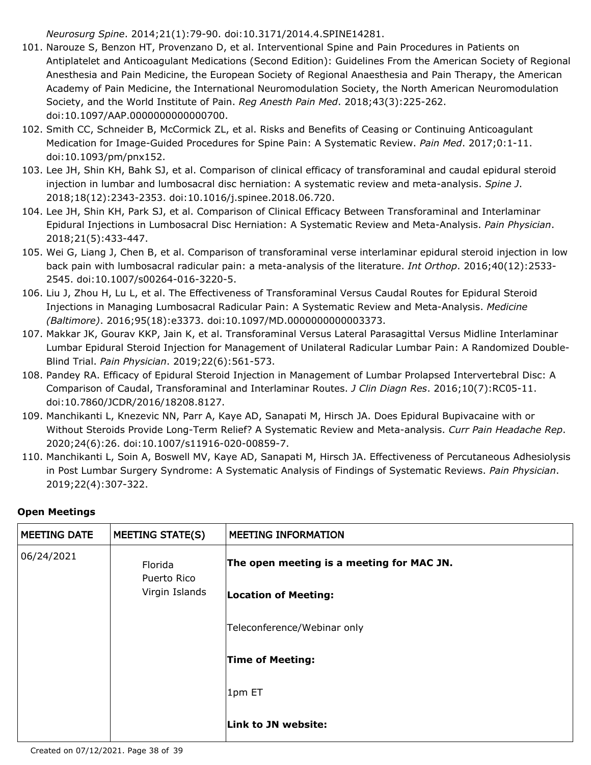*Neurosurg Spine*. 2014;21(1):79-90. doi:10.3171/2014.4.SPINE14281.

- 101. Narouze S, Benzon HT, Provenzano D, et al. Interventional Spine and Pain Procedures in Patients on Antiplatelet and Anticoagulant Medications (Second Edition): Guidelines From the American Society of Regional Anesthesia and Pain Medicine, the European Society of Regional Anaesthesia and Pain Therapy, the American Academy of Pain Medicine, the International Neuromodulation Society, the North American Neuromodulation Society, and the World Institute of Pain. *Reg Anesth Pain Med*. 2018;43(3):225-262. doi:10.1097/AAP.0000000000000700.
- 102. Smith CC, Schneider B, McCormick ZL, et al. Risks and Benefits of Ceasing or Continuing Anticoagulant Medication for Image-Guided Procedures for Spine Pain: A Systematic Review. *Pain Med*. 2017;0:1-11. doi:10.1093/pm/pnx152.
- Lee JH, Shin KH, Bahk SJ, et al. Comparison of clinical efficacy of transforaminal and caudal epidural steroid 103. injection in lumbar and lumbosacral disc herniation: A systematic review and meta-analysis. *Spine J*. 2018;18(12):2343-2353. doi:10.1016/j.spinee.2018.06.720.
- Lee JH, Shin KH, Park SJ, et al. Comparison of Clinical Efficacy Between Transforaminal and Interlaminar 104. Epidural Injections in Lumbosacral Disc Herniation: A Systematic Review and Meta-Analysis. *Pain Physician*. 2018;21(5):433-447.
- 105. Wei G, Liang J, Chen B, et al. Comparison of transforaminal verse interlaminar epidural steroid injection in low back pain with lumbosacral radicular pain: a meta-analysis of the literature. *Int Orthop*. 2016;40(12):2533- 2545. doi:10.1007/s00264-016-3220-5.
- 106. Liu J, Zhou H, Lu L, et al. The Effectiveness of Transforaminal Versus Caudal Routes for Epidural Steroid Injections in Managing Lumbosacral Radicular Pain: A Systematic Review and Meta-Analysis. *Medicine (Baltimore)*. 2016;95(18):e3373. doi:10.1097/MD.0000000000003373.
- 107. Makkar JK, Gourav KKP, Jain K, et al. Transforaminal Versus Lateral Parasagittal Versus Midline Interlaminar Lumbar Epidural Steroid Injection for Management of Unilateral Radicular Lumbar Pain: A Randomized Double-Blind Trial. *Pain Physician*. 2019;22(6):561-573.
- 108. Pandey RA. Efficacy of Epidural Steroid Injection in Management of Lumbar Prolapsed Intervertebral Disc: A Comparison of Caudal, Transforaminal and Interlaminar Routes. *J Clin Diagn Res*. 2016;10(7):RC05-11. doi:10.7860/JCDR/2016/18208.8127.
- 109. Manchikanti L, Knezevic NN, Parr A, Kaye AD, Sanapati M, Hirsch JA. Does Epidural Bupivacaine with or Without Steroids Provide Long-Term Relief? A Systematic Review and Meta-analysis. *Curr Pain Headache Rep*. 2020;24(6):26. doi:10.1007/s11916-020-00859-7.
- 110. Manchikanti L, Soin A, Boswell MV, Kaye AD, Sanapati M, Hirsch JA. Effectiveness of Percutaneous Adhesiolysis in Post Lumbar Surgery Syndrome: A Systematic Analysis of Findings of Systematic Reviews. *Pain Physician*. 2019;22(4):307-322.

### **Open Meetings**

| <b>MEETING DATE</b> | <b>MEETING STATE(S)</b>                  | <b>MEETING INFORMATION</b>                                               |
|---------------------|------------------------------------------|--------------------------------------------------------------------------|
| 06/24/2021          | Florida<br>Puerto Rico<br>Virgin Islands | The open meeting is a meeting for MAC JN.<br><b>Location of Meeting:</b> |
|                     |                                          | Teleconference/Webinar only                                              |
|                     |                                          | <b>Time of Meeting:</b>                                                  |
|                     |                                          | $ 1$ pm ET                                                               |
|                     |                                          | Link to JN website:                                                      |